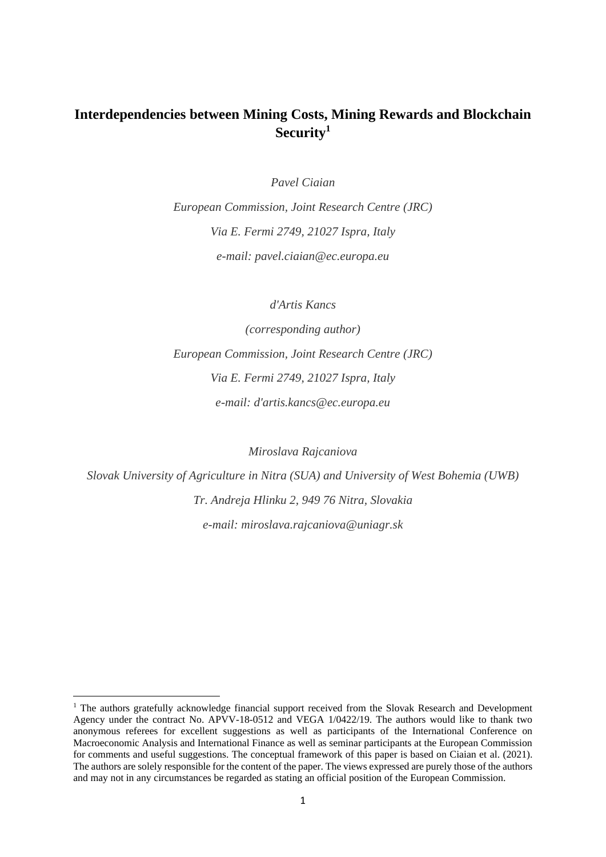# **Interdependencies between Mining Costs, Mining Rewards and Blockchain Security<sup>1</sup>**

*Pavel Ciaian*

*European Commission, Joint Research Centre (JRC) Via E. Fermi 2749, 21027 Ispra, Italy e-mail: pavel.ciaian@ec.europa.eu*

*d'Artis Kancs*

*(corresponding author) European Commission, Joint Research Centre (JRC) Via E. Fermi 2749, 21027 Ispra, Italy e-mail: d'artis.kancs@ec.europa.eu*

*Miroslava Rajcaniova*

*Slovak University of Agriculture in Nitra (SUA) and University of West Bohemia (UWB) Tr. Andreja Hlinku 2, 949 76 Nitra, Slovakia e-mail: miroslava.rajcaniova@uniagr.sk*

<sup>&</sup>lt;sup>1</sup> The authors gratefully acknowledge financial support received from the Slovak Research and Development Agency under the contract No. APVV-18-0512 and VEGA 1/0422/19. The authors would like to thank two anonymous referees for excellent suggestions as well as participants of the International Conference on Macroeconomic Analysis and International Finance as well as seminar participants at the European Commission for comments and useful suggestions. The conceptual framework of this paper is based on Ciaian et al. (2021). The authors are solely responsible for the content of the paper. The views expressed are purely those of the authors and may not in any circumstances be regarded as stating an official position of the European Commission.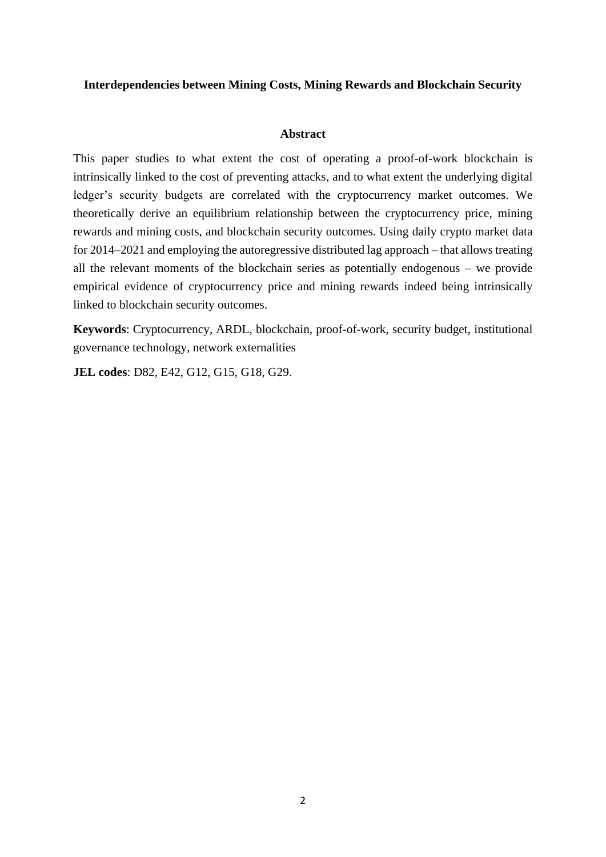### **Interdependencies between Mining Costs, Mining Rewards and Blockchain Security**

#### **Abstract**

This paper studies to what extent the cost of operating a proof-of-work blockchain is intrinsically linked to the cost of preventing attacks, and to what extent the underlying digital ledger's security budgets are correlated with the cryptocurrency market outcomes. We theoretically derive an equilibrium relationship between the cryptocurrency price, mining rewards and mining costs, and blockchain security outcomes. Using daily crypto market data for 2014–2021 and employing the autoregressive distributed lag approach – that allows treating all the relevant moments of the blockchain series as potentially endogenous – we provide empirical evidence of cryptocurrency price and mining rewards indeed being intrinsically linked to blockchain security outcomes.

**Keywords**: Cryptocurrency, ARDL, blockchain, proof-of-work, security budget, institutional governance technology, network externalities

**JEL codes**: D82, E42, G12, G15, G18, G29.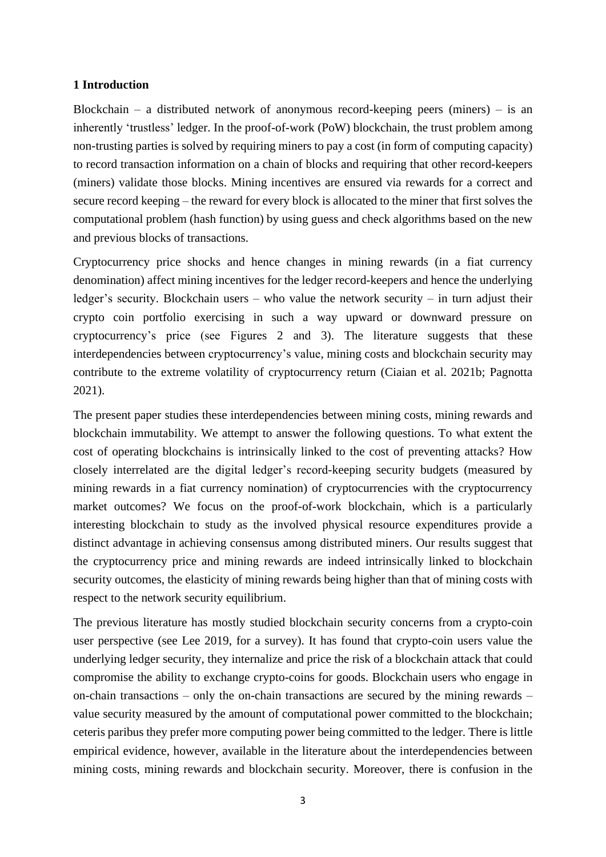### **1 Introduction**

Blockchain – a distributed network of anonymous record-keeping peers (miners) – is an inherently 'trustless' ledger. In the proof-of-work (PoW) blockchain, the trust problem among non-trusting parties is solved by requiring miners to pay a cost (in form of computing capacity) to record transaction information on a chain of blocks and requiring that other record-keepers (miners) validate those blocks. Mining incentives are ensured via rewards for a correct and secure record keeping – the reward for every block is allocated to the miner that first solves the computational problem (hash function) by using guess and check algorithms based on the new and previous blocks of transactions.

Cryptocurrency price shocks and hence changes in mining rewards (in a fiat currency denomination) affect mining incentives for the ledger record-keepers and hence the underlying ledger's security. Blockchain users – who value the network security – in turn adjust their crypto coin portfolio exercising in such a way upward or downward pressure on cryptocurrency's price (see Figures 2 and 3). The literature suggests that these interdependencies between cryptocurrency's value, mining costs and blockchain security may contribute to the extreme volatility of cryptocurrency return (Ciaian et al. 2021b; Pagnotta 2021).

The present paper studies these interdependencies between mining costs, mining rewards and blockchain immutability. We attempt to answer the following questions. To what extent the cost of operating blockchains is intrinsically linked to the cost of preventing attacks? How closely interrelated are the digital ledger's record-keeping security budgets (measured by mining rewards in a fiat currency nomination) of cryptocurrencies with the cryptocurrency market outcomes? We focus on the proof-of-work blockchain, which is a particularly interesting blockchain to study as the involved physical resource expenditures provide a distinct advantage in achieving consensus among distributed miners. Our results suggest that the cryptocurrency price and mining rewards are indeed intrinsically linked to blockchain security outcomes, the elasticity of mining rewards being higher than that of mining costs with respect to the network security equilibrium.

The previous literature has mostly studied blockchain security concerns from a crypto-coin user perspective (see Lee 2019, for a survey). It has found that crypto-coin users value the underlying ledger security, they internalize and price the risk of a blockchain attack that could compromise the ability to exchange crypto-coins for goods. Blockchain users who engage in on-chain transactions – only the on-chain transactions are secured by the mining rewards – value security measured by the amount of computational power committed to the blockchain; ceteris paribus they prefer more computing power being committed to the ledger. There is little empirical evidence, however, available in the literature about the interdependencies between mining costs, mining rewards and blockchain security. Moreover, there is confusion in the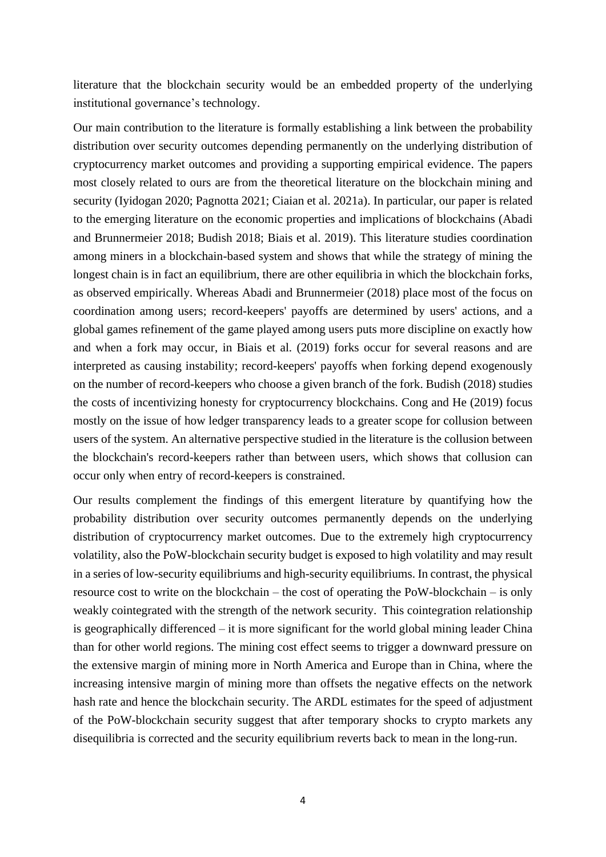literature that the blockchain security would be an embedded property of the underlying institutional governance's technology.

Our main contribution to the literature is formally establishing a link between the probability distribution over security outcomes depending permanently on the underlying distribution of cryptocurrency market outcomes and providing a supporting empirical evidence. The papers most closely related to ours are from the theoretical literature on the blockchain mining and security (Iyidogan 2020; Pagnotta 2021; Ciaian et al. 2021a). In particular, our paper is related to the emerging literature on the economic properties and implications of blockchains (Abadi and Brunnermeier 2018; Budish 2018; Biais et al. 2019). This literature studies coordination among miners in a blockchain-based system and shows that while the strategy of mining the longest chain is in fact an equilibrium, there are other equilibria in which the blockchain forks, as observed empirically. Whereas Abadi and Brunnermeier (2018) place most of the focus on coordination among users; record-keepers' payoffs are determined by users' actions, and a global games refinement of the game played among users puts more discipline on exactly how and when a fork may occur, in Biais et al. (2019) forks occur for several reasons and are interpreted as causing instability; record-keepers' payoffs when forking depend exogenously on the number of record-keepers who choose a given branch of the fork. Budish (2018) studies the costs of incentivizing honesty for cryptocurrency blockchains. Cong and He (2019) focus mostly on the issue of how ledger transparency leads to a greater scope for collusion between users of the system. An alternative perspective studied in the literature is the collusion between the blockchain's record-keepers rather than between users, which shows that collusion can occur only when entry of record-keepers is constrained.

Our results complement the findings of this emergent literature by quantifying how the probability distribution over security outcomes permanently depends on the underlying distribution of cryptocurrency market outcomes. Due to the extremely high cryptocurrency volatility, also the PoW-blockchain security budget is exposed to high volatility and may result in a series of low-security equilibriums and high-security equilibriums. In contrast, the physical resource cost to write on the blockchain – the cost of operating the PoW-blockchain – is only weakly cointegrated with the strength of the network security. This cointegration relationship is geographically differenced – it is more significant for the world global mining leader China than for other world regions. The mining cost effect seems to trigger a downward pressure on the extensive margin of mining more in North America and Europe than in China, where the increasing intensive margin of mining more than offsets the negative effects on the network hash rate and hence the blockchain security. The ARDL estimates for the speed of adjustment of the PoW-blockchain security suggest that after temporary shocks to crypto markets any disequilibria is corrected and the security equilibrium reverts back to mean in the long-run.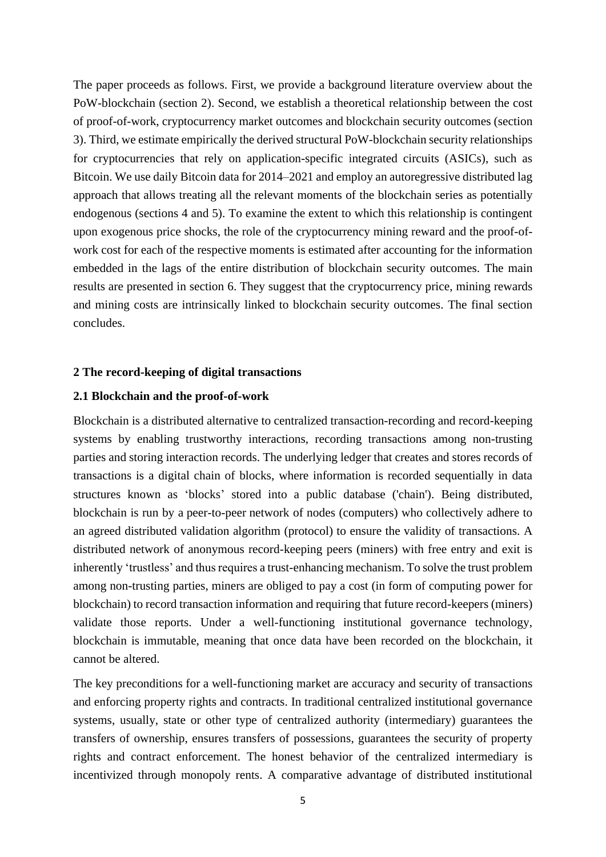The paper proceeds as follows. First, we provide a background literature overview about the PoW-blockchain (section 2). Second, we establish a theoretical relationship between the cost of proof-of-work, cryptocurrency market outcomes and blockchain security outcomes (section 3). Third, we estimate empirically the derived structural PoW-blockchain security relationships for cryptocurrencies that rely on application-specific integrated circuits (ASICs), such as Bitcoin. We use daily Bitcoin data for 2014–2021 and employ an autoregressive distributed lag approach that allows treating all the relevant moments of the blockchain series as potentially endogenous (sections 4 and 5). To examine the extent to which this relationship is contingent upon exogenous price shocks, the role of the cryptocurrency mining reward and the proof-ofwork cost for each of the respective moments is estimated after accounting for the information embedded in the lags of the entire distribution of blockchain security outcomes. The main results are presented in section 6. They suggest that the cryptocurrency price, mining rewards and mining costs are intrinsically linked to blockchain security outcomes. The final section concludes.

#### **2 The record-keeping of digital transactions**

### **2.1 Blockchain and the proof-of-work**

Blockchain is a distributed alternative to centralized transaction-recording and record-keeping systems by enabling trustworthy interactions, recording transactions among non-trusting parties and storing interaction records. The underlying ledger that creates and stores records of transactions is a digital chain of blocks, where information is recorded sequentially in data structures known as 'blocks' stored into a public database ('chain'). Being distributed, blockchain is run by a [peer-to-peer](https://en.wikipedia.org/wiki/Peer-to-peer) network of nodes (computers) who collectively adhere to an agreed distributed validation algorithm [\(protocol\)](https://en.wikipedia.org/wiki/Protocol_(communication)) to ensure the validity of transactions. A distributed network of anonymous record-keeping peers (miners) with free entry and exit is inherently 'trustless' and thus requires a trust-enhancing mechanism. To solve the trust problem among non-trusting parties, miners are obliged to pay a cost (in form of computing power for blockchain) to record transaction information and requiring that future record-keepers (miners) validate those reports. Under a well-functioning institutional governance technology, blockchain is immutable, meaning that once data have been recorded on the blockchain, it cannot be altered.

The key preconditions for a well-functioning market are accuracy and security of transactions and enforcing property rights and contracts. In traditional centralized institutional governance systems, usually, state or other type of centralized authority (intermediary) guarantees the transfers of ownership, ensures transfers of possessions, guarantees the security of property rights and contract enforcement. The honest behavior of the centralized intermediary is incentivized through monopoly rents. A comparative advantage of distributed institutional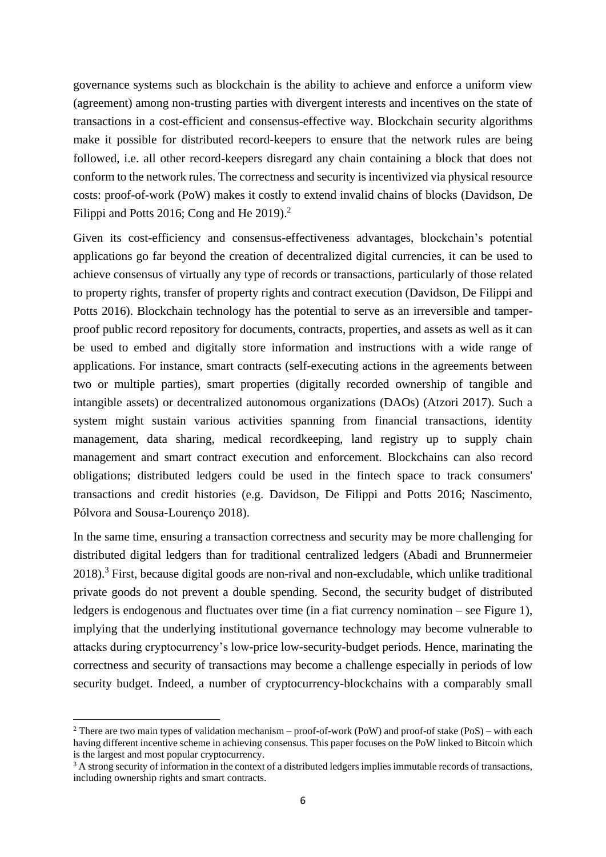governance systems such as blockchain is the ability to achieve and enforce a uniform view (agreement) among non-trusting parties with divergent interests and incentives on the state of transactions in a cost-efficient and consensus-effective way. Blockchain security algorithms make it possible for distributed record-keepers to ensure that the network rules are being followed, i.e. all other record-keepers disregard any chain containing a block that does not conform to the network rules. The correctness and security is incentivized via physical resource costs: proof-of-work (PoW) makes it costly to extend invalid chains of blocks (Davidson, De Filippi and Potts 2016; Cong and He 2019).<sup>2</sup>

Given its cost-efficiency and consensus-effectiveness advantages, blockchain's potential applications go far beyond the creation of decentralized digital currencies, it can be used to achieve consensus of virtually any type of records or transactions, particularly of those related to property rights, transfer of property rights and contract execution (Davidson, De Filippi and Potts 2016). Blockchain technology has the potential to serve as an irreversible and tamperproof public record repository for documents, contracts, properties, and assets as well as it can be used to embed and digitally store information and instructions with a wide range of applications. For instance, smart contracts (self-executing actions in the agreements between two or multiple parties), smart properties (digitally recorded ownership of tangible and intangible assets) or decentralized autonomous organizations (DAOs) (Atzori 2017). Such a system might sustain various activities spanning from financial transactions, identity management, data sharing, medical recordkeeping, land registry up to supply chain management and smart contract execution and enforcement. Blockchains can also record obligations; distributed ledgers could be used in the fintech space to track consumers' transactions and credit histories (e.g. Davidson, De Filippi and Potts 2016; Nascimento, Pólvora and Sousa-Lourenço 2018).

In the same time, ensuring a transaction correctness and security may be more challenging for distributed digital ledgers than for traditional centralized ledgers (Abadi and Brunnermeier 2018).<sup>3</sup> First, because digital goods are non-rival and non-excludable, which unlike traditional private goods do not prevent a double spending. Second, the security budget of distributed ledgers is endogenous and fluctuates over time (in a fiat currency nomination – see Figure 1), implying that the underlying institutional governance technology may become vulnerable to attacks during cryptocurrency's low-price low-security-budget periods. Hence, marinating the correctness and security of transactions may become a challenge especially in periods of low security budget. Indeed, a number of cryptocurrency-blockchains with a comparably small

<sup>&</sup>lt;sup>2</sup> There are two main types of validation mechanism – proof-of-work (PoW) and proof-of stake (PoS) – with each having different incentive scheme in achieving consensus. This paper focuses on the PoW linked to Bitcoin which is the largest and most popular cryptocurrency.

<sup>&</sup>lt;sup>3</sup> A strong security of information in the context of a distributed ledgers implies immutable records of transactions, including ownership rights and smart contracts.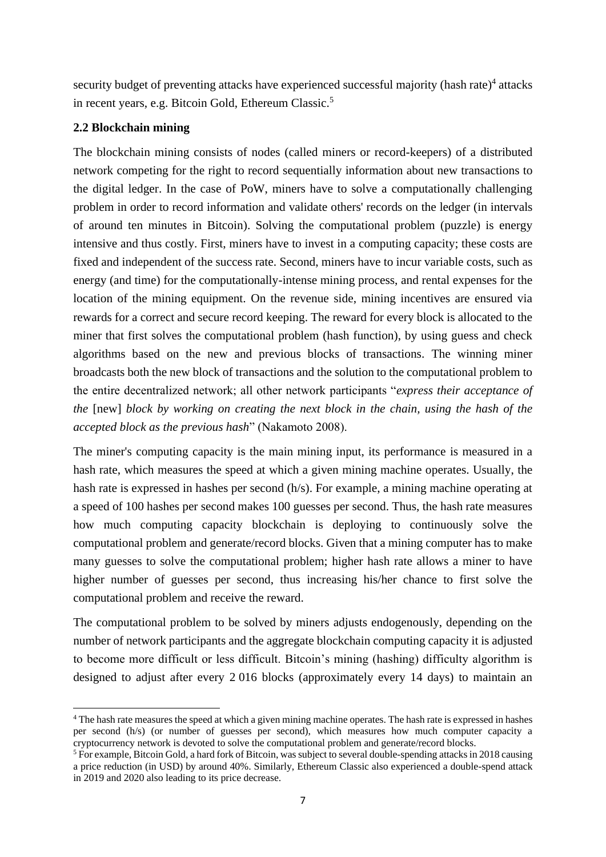security budget of preventing attacks have experienced successful majority (hash rate)<sup>4</sup> attacks in recent years, e.g. Bitcoin Gold, Ethereum Classic.<sup>5</sup>

# **2.2 Blockchain mining**

The blockchain mining consists of nodes (called miners or record-keepers) of a distributed network competing for the right to record sequentially information about new transactions to the digital ledger. In the case of PoW, miners have to solve a computationally challenging problem in order to record information and validate others' records on the ledger (in intervals of around ten minutes in Bitcoin). Solving the computational problem (puzzle) is energy intensive and thus costly. First, miners have to invest in a computing capacity; these costs are fixed and independent of the success rate. Second, miners have to incur variable costs, such as energy (and time) for the computationally-intense mining process, and rental expenses for the location of the mining equipment. On the revenue side, mining incentives are ensured via rewards for a correct and secure record keeping. The reward for every block is allocated to the miner that first solves the computational problem (hash function), by using guess and check algorithms based on the new and previous blocks of transactions. The winning miner broadcasts both the new block of transactions and the solution to the computational problem to the entire decentralized network; all other network participants "*express their acceptance of the* [new] *block by working on creating the next block in the chain, using the hash of the accepted block as the previous hash*" (Nakamoto 2008).

The miner's computing capacity is the main mining input, its performance is measured in a hash rate, which measures the speed at which a given mining machine operates. Usually, the hash rate is expressed in hashes per second (h/s). For example, a mining machine operating at a speed of 100 hashes per second makes 100 guesses per second. Thus, the hash rate measures how much computing capacity blockchain is deploying to continuously solve the computational problem and generate/record blocks. Given that a mining computer has to make many guesses to solve the computational problem; higher hash rate allows a miner to have higher number of guesses per second, thus increasing his/her chance to first solve the computational problem and receive the reward.

The computational problem to be solved by miners adjusts endogenously, depending on the number of network participants and the aggregate blockchain computing capacity it is adjusted to become more difficult or less difficult. Bitcoin's mining (hashing) difficulty algorithm is designed to adjust after every 2 016 blocks (approximately every 14 days) to maintain an

<sup>4</sup> The hash rate measures the speed at which a given mining machine operates. The hash rate is expressed in hashes per second (h/s) (or number of guesses per second), which measures how much computer capacity a cryptocurrency network is devoted to solve the computational problem and generate/record blocks.

<sup>5</sup> For example, Bitcoin Gold, a hard fork of Bitcoin, was subject to several double-spending attacks in 2018 causing a price reduction (in USD) by around 40%. Similarly, Ethereum Classic also experienced a double-spend attack in 2019 and 2020 also leading to its price decrease.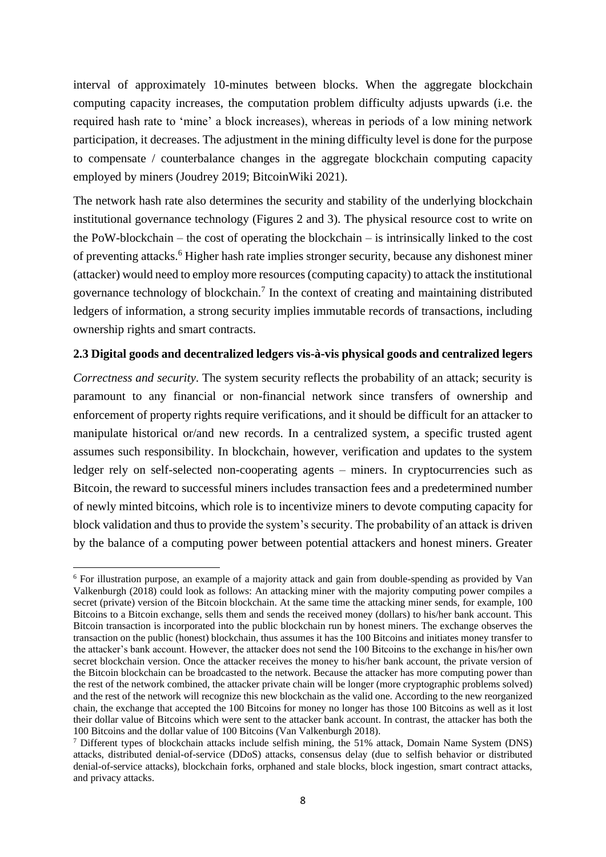interval of approximately 10-minutes between blocks. When the aggregate blockchain computing capacity increases, the computation problem difficulty adjusts upwards (i.e. the required hash rate to 'mine' a block increases), whereas in periods of a low mining network participation, it decreases. The adjustment in the mining difficulty level is done for the purpose to compensate / counterbalance changes in the aggregate blockchain computing capacity employed by miners (Joudrey 2019; BitcoinWiki 2021).

The network hash rate also determines the security and stability of the underlying blockchain institutional governance technology (Figures 2 and 3). The physical resource cost to write on the PoW-blockchain – the cost of operating the blockchain – is intrinsically linked to the cost of preventing attacks.<sup>6</sup> Higher hash rate implies stronger security, because any dishonest miner (attacker) would need to employ more resources (computing capacity) to attack the institutional governance technology of blockchain.<sup>7</sup> In the context of creating and maintaining distributed ledgers of information, a strong security implies immutable records of transactions, including ownership rights and smart contracts.

## **2.3 Digital goods and decentralized ledgers vis-à-vis physical goods and centralized legers**

*Correctness and security*. The system security reflects the probability of an attack; security is paramount to any financial or non-financial network since transfers of ownership and enforcement of property rights require verifications, and it should be difficult for an attacker to manipulate historical or/and new records. In a centralized system, a specific trusted agent assumes such responsibility. In blockchain, however, verification and updates to the system ledger rely on self-selected non-cooperating agents – miners. In cryptocurrencies such as Bitcoin, the reward to successful miners includes transaction fees and a predetermined number of newly minted bitcoins, which role is to incentivize miners to devote computing capacity for block validation and thus to provide the system's security. The probability of an attack is driven by the balance of a computing power between potential attackers and honest miners. Greater

<sup>6</sup> For illustration purpose, an example of a majority attack and gain from double-spending as provided by Van Valkenburgh (2018) could look as follows: An attacking miner with the majority computing power compiles a secret (private) version of the Bitcoin blockchain. At the same time the attacking miner sends, for example, 100 Bitcoins to a Bitcoin exchange, sells them and sends the received money (dollars) to his/her bank account. This Bitcoin transaction is incorporated into the public blockchain run by honest miners. The exchange observes the transaction on the public (honest) blockchain, thus assumes it has the 100 Bitcoins and initiates money transfer to the attacker's bank account. However, the attacker does not send the 100 Bitcoins to the exchange in his/her own secret blockchain version. Once the attacker receives the money to his/her bank account, the private version of the Bitcoin blockchain can be broadcasted to the network. Because the attacker has more computing power than the rest of the network combined, the attacker private chain will be longer (more cryptographic problems solved) and the rest of the network will recognize this new blockchain as the valid one. According to the new reorganized chain, the exchange that accepted the 100 Bitcoins for money no longer has those 100 Bitcoins as well as it lost their dollar value of Bitcoins which were sent to the attacker bank account. In contrast, the attacker has both the 100 Bitcoins and the dollar value of 100 Bitcoins (Van Valkenburgh 2018).

<sup>7</sup> Different types of blockchain attacks include selfish mining, the 51% attack, Domain Name System (DNS) attacks, distributed denial-of-service (DDoS) attacks, consensus delay (due to selfish behavior or distributed denial-of-service attacks), blockchain forks, orphaned and stale blocks, block ingestion, smart contract attacks, and privacy attacks.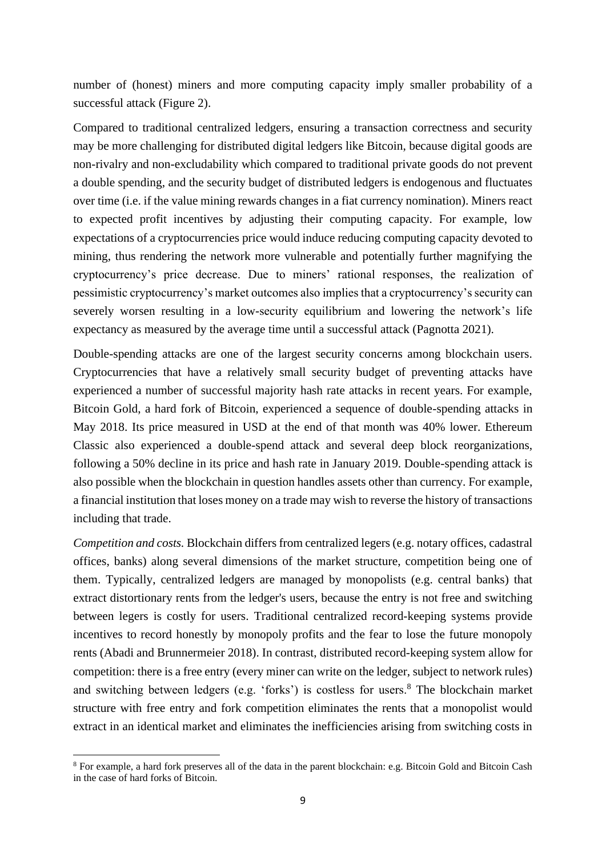number of (honest) miners and more computing capacity imply smaller probability of a successful attack (Figure 2).

Compared to traditional centralized ledgers, ensuring a transaction correctness and security may be more challenging for distributed digital ledgers like Bitcoin, because digital goods are non-rivalry and non-excludability which compared to traditional private goods do not prevent a double spending, and the security budget of distributed ledgers is endogenous and fluctuates over time (i.e. if the value mining rewards changes in a fiat currency nomination). Miners react to expected profit incentives by adjusting their computing capacity. For example, low expectations of a cryptocurrencies price would induce reducing computing capacity devoted to mining, thus rendering the network more vulnerable and potentially further magnifying the cryptocurrency's price decrease. Due to miners' rational responses, the realization of pessimistic cryptocurrency's market outcomes also implies that a cryptocurrency's security can severely worsen resulting in a low-security equilibrium and lowering the network's life expectancy as measured by the average time until a successful attack (Pagnotta 2021).

Double-spending attacks are one of the largest security concerns among blockchain users. Cryptocurrencies that have a relatively small security budget of preventing attacks have experienced a number of successful majority hash rate attacks in recent years. For example, Bitcoin Gold, a hard fork of Bitcoin, experienced a sequence of double-spending attacks in May 2018. Its price measured in USD at the end of that month was 40% lower. Ethereum Classic also experienced a double-spend attack and several deep block reorganizations, following a 50% decline in its price and hash rate in January 2019. Double-spending attack is also possible when the blockchain in question handles assets other than currency. For example, a financial institution that loses money on a trade may wish to reverse the history of transactions including that trade.

*Competition and costs.* Blockchain differs from centralized legers (e.g. notary offices, cadastral offices, banks) along several dimensions of the market structure, competition being one of them. Typically, centralized ledgers are managed by monopolists (e.g. central banks) that extract distortionary rents from the ledger's users, because the entry is not free and switching between legers is costly for users. Traditional centralized record-keeping systems provide incentives to record honestly by monopoly profits and the fear to lose the future monopoly rents (Abadi and Brunnermeier 2018). In contrast, distributed record-keeping system allow for competition: there is a free entry (every miner can write on the ledger, subject to network rules) and switching between ledgers (e.g. 'forks') is costless for users.<sup>8</sup> The blockchain market structure with free entry and fork competition eliminates the rents that a monopolist would extract in an identical market and eliminates the inefficiencies arising from switching costs in

<sup>8</sup> For example, a hard fork preserves all of the data in the parent blockchain: e.g. Bitcoin Gold and Bitcoin Cash in the case of hard forks of Bitcoin.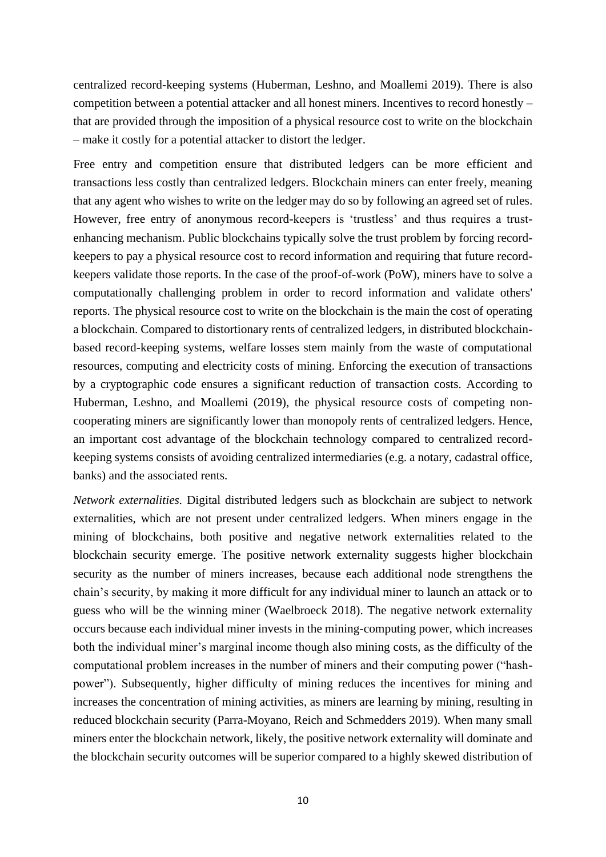centralized record-keeping systems (Huberman, Leshno, and Moallemi 2019). There is also competition between a potential attacker and all honest miners. Incentives to record honestly – that are provided through the imposition of a physical resource cost to write on the blockchain – make it costly for a potential attacker to distort the ledger.

Free entry and competition ensure that distributed ledgers can be more efficient and transactions less costly than centralized ledgers. Blockchain miners can enter freely, meaning that any agent who wishes to write on the ledger may do so by following an agreed set of rules. However, free entry of anonymous record-keepers is 'trustless' and thus requires a trustenhancing mechanism. Public blockchains typically solve the trust problem by forcing recordkeepers to pay a physical resource cost to record information and requiring that future recordkeepers validate those reports. In the case of the proof-of-work (PoW), miners have to solve a computationally challenging problem in order to record information and validate others' reports. The physical resource cost to write on the blockchain is the main the cost of operating a blockchain. Compared to distortionary rents of centralized ledgers, in distributed blockchainbased record-keeping systems, welfare losses stem mainly from the waste of computational resources, computing and electricity costs of mining. Enforcing the execution of transactions by a cryptographic code ensures a significant reduction of transaction costs. According to Huberman, Leshno, and Moallemi (2019), the physical resource costs of competing noncooperating miners are significantly lower than monopoly rents of centralized ledgers. Hence, an important cost advantage of the blockchain technology compared to centralized recordkeeping systems consists of avoiding centralized intermediaries (e.g. a notary, cadastral office, banks) and the associated rents.

*Network externalities.* Digital distributed ledgers such as blockchain are subject to network externalities, which are not present under centralized ledgers. When miners engage in the mining of blockchains, both positive and negative network externalities related to the blockchain security emerge. The positive network externality suggests higher blockchain security as the number of miners increases, because each additional node strengthens the chain's security, by making it more difficult for any individual miner to launch an attack or to guess who will be the winning miner (Waelbroeck 2018). The negative network externality occurs because each individual miner invests in the mining-computing power, which increases both the individual miner's marginal income though also mining costs, as the difficulty of the computational problem increases in the number of miners and their computing power ("hashpower"). Subsequently, higher difficulty of mining reduces the incentives for mining and increases the concentration of mining activities, as miners are learning by mining, resulting in reduced blockchain security (Parra-Moyano, Reich and Schmedders 2019). When many small miners enter the blockchain network, likely, the positive network externality will dominate and the blockchain security outcomes will be superior compared to a highly skewed distribution of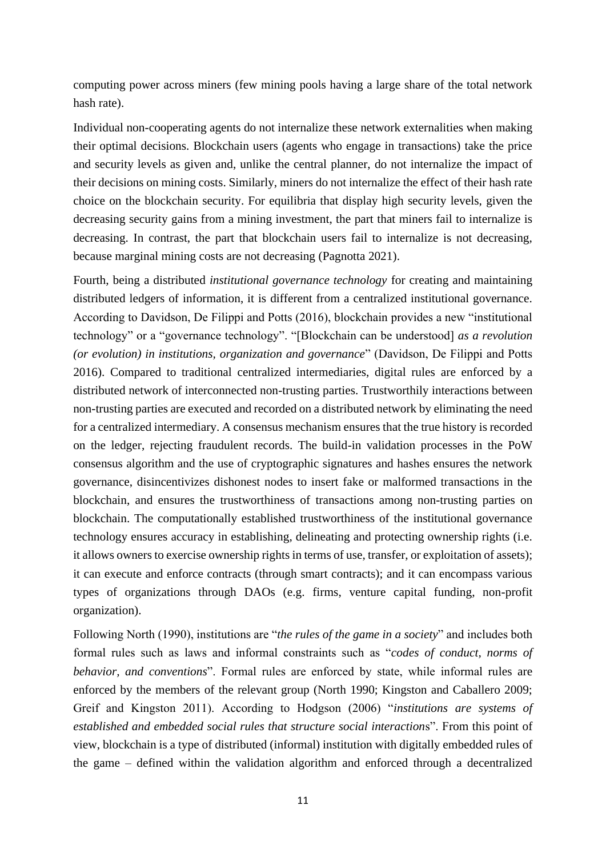computing power across miners (few mining pools having a large share of the total network hash rate).

Individual non-cooperating agents do not internalize these network externalities when making their optimal decisions. Blockchain users (agents who engage in transactions) take the price and security levels as given and, unlike the central planner, do not internalize the impact of their decisions on mining costs. Similarly, miners do not internalize the effect of their hash rate choice on the blockchain security. For equilibria that display high security levels, given the decreasing security gains from a mining investment, the part that miners fail to internalize is decreasing. In contrast, the part that blockchain users fail to internalize is not decreasing, because marginal mining costs are not decreasing (Pagnotta 2021).

Fourth, being a distributed *institutional governance technology* for creating and maintaining distributed ledgers of information, it is different from a centralized institutional governance. According to Davidson, De Filippi and Potts (2016), blockchain provides a new "institutional technology" or a "governance technology". "[Blockchain can be understood] *as a revolution (or evolution) in institutions, organization and governance*" (Davidson, De Filippi and Potts 2016). Compared to traditional centralized intermediaries, digital rules are enforced by a distributed network of interconnected non-trusting parties. Trustworthily interactions between non-trusting parties are executed and recorded on a distributed network by eliminating the need for a centralized intermediary. A consensus mechanism ensures that the true history is recorded on the ledger, rejecting fraudulent records. The build-in validation processes in the PoW consensus algorithm and the use of cryptographic signatures and hashes ensures the network governance, disincentivizes dishonest nodes to insert fake or malformed transactions in the blockchain, and ensures the trustworthiness of transactions among non-trusting parties on blockchain. The computationally established trustworthiness of the institutional governance technology ensures accuracy in establishing, delineating and protecting ownership rights (i.e. it allows owners to exercise ownership rights in terms of use, transfer, or exploitation of assets); it can execute and enforce contracts (through smart contracts); and it can encompass various types of organizations through DAOs (e.g. firms, venture capital funding, non-profit organization).

Following North (1990), institutions are "*the rules of the game in a society*" and includes both formal rules such as laws and informal constraints such as "*codes of conduct, norms of behavior, and conventions*". Formal rules are enforced by state, while informal rules are enforced by the members of the relevant group (North 1990; Kingston and Caballero 2009; Greif and Kingston 2011). According to Hodgson (2006) "*institutions are systems of established and embedded social rules that structure social interaction*s". From this point of view, blockchain is a type of distributed (informal) institution with digitally embedded rules of the game – defined within the validation algorithm and enforced through a decentralized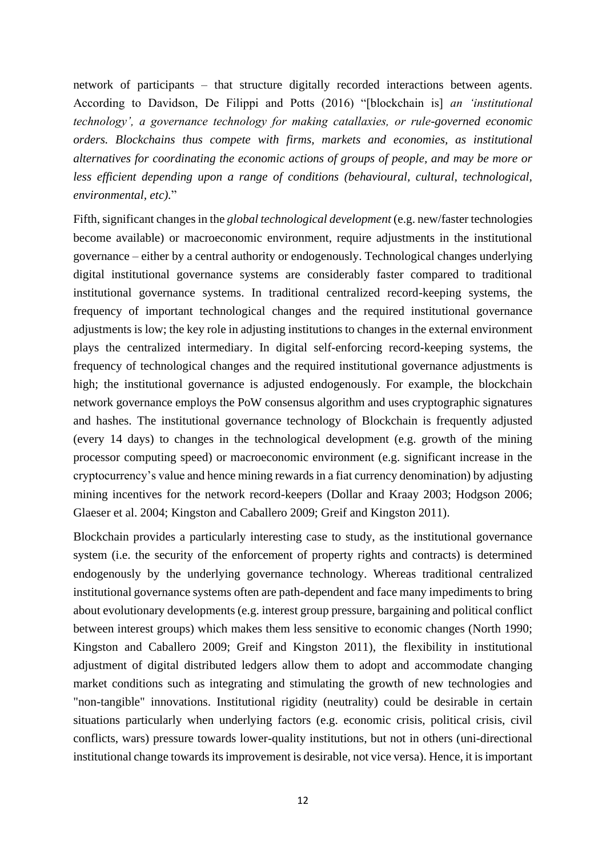network of participants – that structure digitally recorded interactions between agents. According to Davidson, De Filippi and Potts (2016) "[blockchain is] *an 'institutional technology', a governance technology for making catallaxies, or rule-governed economic orders. Blockchains thus compete with firms, markets and economies, as institutional alternatives for coordinating the economic actions of groups of people, and may be more or less efficient depending upon a range of conditions (behavioural, cultural, technological, environmental, etc).*"

Fifth, significant changes in the *global technological development* (e.g. new/faster technologies become available) or macroeconomic environment, require adjustments in the institutional governance – either by a central authority or endogenously. Technological changes underlying digital institutional governance systems are considerably faster compared to traditional institutional governance systems. In traditional centralized record-keeping systems, the frequency of important technological changes and the required institutional governance adjustments is low; the key role in adjusting institutions to changes in the external environment plays the centralized intermediary. In digital self-enforcing record-keeping systems, the frequency of technological changes and the required institutional governance adjustments is high; the institutional governance is adjusted endogenously. For example, the blockchain network governance employs the PoW consensus algorithm and uses cryptographic signatures and hashes. The institutional governance technology of Blockchain is frequently adjusted (every 14 days) to changes in the technological development (e.g. growth of the mining processor computing speed) or macroeconomic environment (e.g. significant increase in the cryptocurrency's value and hence mining rewards in a fiat currency denomination) by adjusting mining incentives for the network record-keepers (Dollar and Kraay 2003; Hodgson 2006; Glaeser et al. 2004; Kingston and Caballero 2009; Greif and Kingston 2011).

Blockchain provides a particularly interesting case to study, as the institutional governance system (i.e. the security of the enforcement of property rights and contracts) is determined endogenously by the underlying governance technology. Whereas traditional centralized institutional governance systems often are path-dependent and face many impediments to bring about evolutionary developments (e.g. interest group pressure, bargaining and political conflict between interest groups) which makes them less sensitive to economic changes (North 1990; Kingston and Caballero 2009; Greif and Kingston 2011), the flexibility in institutional adjustment of digital distributed ledgers allow them to adopt and accommodate changing market conditions such as integrating and stimulating the growth of new technologies and "non-tangible" innovations. Institutional rigidity (neutrality) could be desirable in certain situations particularly when underlying factors (e.g. economic crisis, political crisis, civil conflicts, wars) pressure towards lower-quality institutions, but not in others (uni-directional institutional change towards its improvement is desirable, not vice versa). Hence, it is important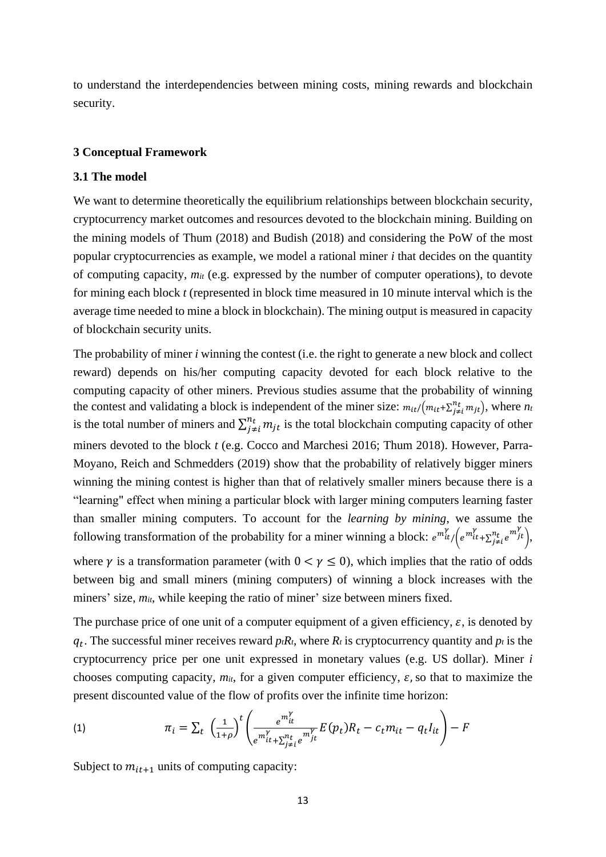to understand the interdependencies between mining costs, mining rewards and blockchain security.

#### **3 Conceptual Framework**

#### **3.1 The model**

We want to determine theoretically the equilibrium relationships between blockchain security, cryptocurrency market outcomes and resources devoted to the blockchain mining. Building on the mining models of Thum (2018) and Budish (2018) and considering the PoW of the most popular cryptocurrencies as example, we model a rational miner *i* that decides on the quantity of computing capacity, *mit* (e.g. expressed by the number of computer operations), to devote for mining each block *t* (represented in block time measured in 10 minute interval which is the average time needed to mine a block in blockchain). The mining output is measured in capacity of blockchain security units.

The probability of miner *i* winning the contest (i.e. the right to generate a new block and collect reward) depends on his/her computing capacity devoted for each block relative to the computing capacity of other miners. Previous studies assume that the probability of winning the contest and validating a block is independent of the miner size:  $m_{it}/(m_{it} + \sum_{j \neq i}^{n_t} m_{jt})$ , where  $n_i$ is the total number of miners and  $\sum_{j \neq i}^{n_t} m_{jt}$  $\sum_{j \neq i}^{n_t} m_{jt}$  is the total blockchain computing capacity of other miners devoted to the block *t* (e.g. Cocco and Marchesi 2016; Thum 2018). However, Parra-Moyano, Reich and Schmedders (2019) show that the probability of relatively bigger miners winning the mining contest is higher than that of relatively smaller miners because there is a "learning" effect when mining a particular block with larger mining computers learning faster than smaller mining computers. To account for the *learning by mining*, we assume the following transformation of the probability for a miner winning a block:  $e^{m_t^{\gamma}}/(e^{m_{it}^{\gamma}} + \sum_{j \neq i}^{n_t} e^{m_j^{\gamma}})$ ,

where  $\gamma$  is a transformation parameter (with  $0 < \gamma \le 0$ ), which implies that the ratio of odds between big and small miners (mining computers) of winning a block increases with the miners' size,  $m_{it}$ , while keeping the ratio of miner' size between miners fixed.

The purchase price of one unit of a computer equipment of a given efficiency,  $\varepsilon$ , is denoted by  $q_t$ . The successful miner receives reward  $p_t R_t$ , where  $R_t$  is cryptocurrency quantity and  $p_t$  is the cryptocurrency price per one unit expressed in monetary values (e.g. US dollar). Miner *i* chooses computing capacity,  $m_{it}$ , for a given computer efficiency,  $\varepsilon$ , so that to maximize the present discounted value of the flow of profits over the infinite time horizon:

(1) 
$$
\pi_i = \sum_t \left( \frac{1}{1+\rho} \right)^t \left( \frac{e^{m_{it}^Y}}{e^{m_{it}^Y} + \sum_{j \neq i}^{n_t} e^{m_{jt}^Y}} E(p_t) R_t - c_t m_{it} - q_t I_{it} \right) - F
$$

Subject to  $m_{it+1}$  units of computing capacity: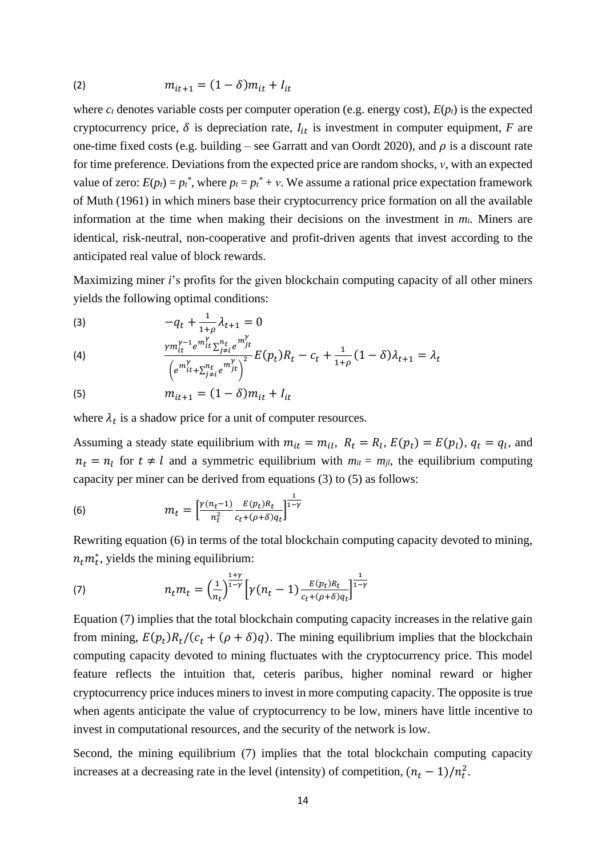(2) 
$$
m_{it+1} = (1 - \delta)m_{it} + I_{it}
$$

where  $c_t$  denotes variable costs per computer operation (e.g. energy cost),  $E(p_t)$  is the expected cryptocurrency price,  $\delta$  is depreciation rate,  $I_{it}$  is investment in computer equipment, *F* are one-time fixed costs (e.g. building – see Garratt and van Oordt 2020), and  $\rho$  is a discount rate for time preference. Deviations from the expected price are random shocks, *ν*, with an expected value of zero:  $E(p_t) = p_t^*$ , where  $p_t = p_t^* + v$ . We assume a rational price expectation framework of Muth (1961) in which miners base their cryptocurrency price formation on all the available information at the time when making their decisions on the investment in  $m_i$ . Miners are identical, risk-neutral, non-cooperative and profit-driven agents that invest according to the anticipated real value of block rewards.

Maximizing miner *i*'s profits for the given blockchain computing capacity of all other miners yields the following optimal conditions:

<span id="page-13-0"></span>(3) 
$$
-q_t + \frac{1}{1+\rho} \lambda_{t+1} = 0
$$

$$
^{(4)}
$$

$$
\frac{\gamma m_{it}^{\gamma-1} e^{m_{it}^{\gamma}} \Sigma_{j \neq i}^{n_t} e^{m_{jt}^{\gamma}}}{\left(e^{m_{it}^{\gamma} + \sum_{j \neq i}^{n_t} e^{m_{jt}^{\gamma}}}\right)^2} E(p_t) R_t - c_t + \frac{1}{1+\rho} (1-\delta) \lambda_{t+1} = \lambda_t
$$

<span id="page-13-1"></span>(5) 
$$
m_{it+1} = (1 - \delta)m_{it} + I_{it}
$$

where  $\lambda_t$  is a shadow price for a unit of computer resources.

Assuming a steady state equilibrium with  $m_{it} = m_{il}$ ,  $R_t = R_l$ ,  $E(p_t) = E(p_l)$ ,  $q_t = q_l$ , and  $n_t = n_l$  for  $t \neq l$  and a symmetric equilibrium with  $m_{it} = m_{jl}$ , the equilibrium computing capacity per miner can be derived from equations [\(3\)](#page-13-0) to [\(5\)](#page-13-1) as follows:

<span id="page-13-2"></span>(6) 
$$
m_t = \left[\frac{\gamma(n_t-1)}{n_t^2} \frac{E(p_t)R_t}{c_t + (\rho + \delta)q_t}\right]^{\frac{1}{1-\gamma}}
$$

Rewriting equation [\(6\)](#page-13-2) in terms of the total blockchain computing capacity devoted to mining,  $n_t m_t^*$ , yields the mining equilibrium:

<span id="page-13-3"></span>(7) 
$$
n_t m_t = \left(\frac{1}{n_t}\right)^{\frac{1+\gamma}{1-\gamma}} \left[\gamma(n_t - 1)\frac{E(p_t)R_t}{c_t + (\rho + \delta)q_t}\right]^{\frac{1}{1-\gamma}}
$$

Equation [\(7\)](#page-13-3) implies that the total blockchain computing capacity increases in the relative gain from mining,  $E(p_t)R_t/(c_t+(\rho+\delta)q)$ . The mining equilibrium implies that the blockchain computing capacity devoted to mining fluctuates with the cryptocurrency price. This model feature reflects the intuition that, ceteris paribus, higher nominal reward or higher cryptocurrency price induces miners to invest in more computing capacity. The opposite is true when agents anticipate the value of cryptocurrency to be low, miners have little incentive to invest in computational resources, and the security of the network is low.

Second, the mining equilibrium [\(7\)](#page-13-3) implies that the total blockchain computing capacity increases at a decreasing rate in the level (intensity) of competition,  $(n_t - 1)/n_t^2$ .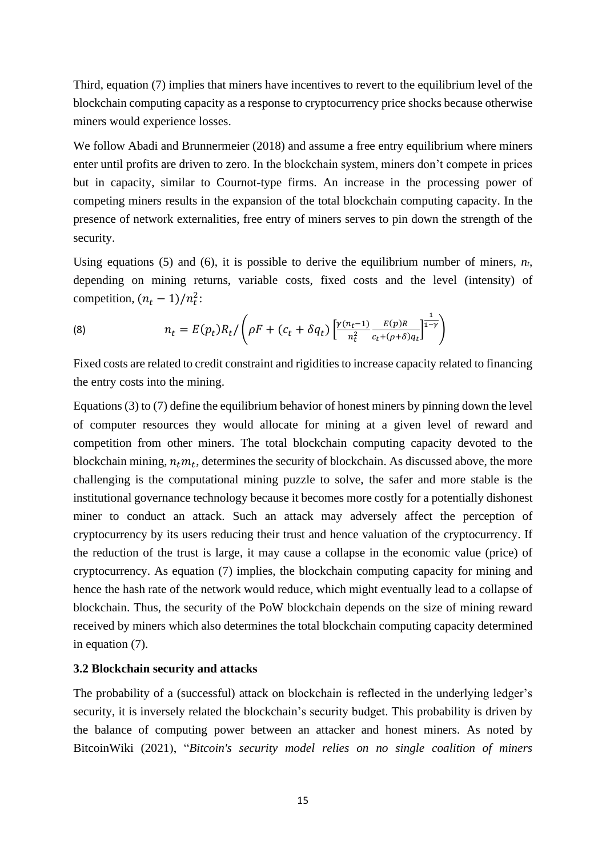Third, equation [\(7\)](#page-13-3) implies that miners have incentives to revert to the equilibrium level of the blockchain computing capacity as a response to cryptocurrency price shocks because otherwise miners would experience losses.

We follow Abadi and Brunnermeier (2018) and assume a free entry equilibrium where miners enter until profits are driven to zero. In the blockchain system, miners don't compete in prices but in capacity, similar to Cournot-type firms. An increase in the processing power of competing miners results in the expansion of the total blockchain computing capacity. In the presence of network externalities, free entry of miners serves to pin down the strength of the security.

Using equations [\(5\)](#page-13-1) and [\(6\),](#page-13-2) it is possible to derive the equilibrium number of miners,  $n_t$ , depending on mining returns, variable costs, fixed costs and the level (intensity) of competition,  $(n_t - 1)/n_t^2$ :

(8) 
$$
n_t = E(p_t)R_t / \left(\rho F + (c_t + \delta q_t) \left[\frac{\gamma(n_t-1)}{n_t^2} \frac{E(p)R}{c_t + (\rho + \delta)q_t}\right]^{\frac{1}{1-\gamma}}\right)
$$

Fixed costs are related to credit constraint and rigidities to increase capacity related to financing the entry costs into the mining.

Equation[s \(3\)](#page-13-0) t[o \(7\)](#page-13-3) define the equilibrium behavior of honest miners by pinning down the level of computer resources they would allocate for mining at a given level of reward and competition from other miners. The total blockchain computing capacity devoted to the blockchain mining,  $n_t m_t$ , determines the security of blockchain. As discussed above, the more challenging is the computational mining puzzle to solve, the safer and more stable is the institutional governance technology because it becomes more costly for a potentially dishonest miner to conduct an attack. Such an attack may adversely affect the perception of cryptocurrency by its users reducing their trust and hence valuation of the cryptocurrency. If the reduction of the trust is large, it may cause a collapse in the economic value (price) of cryptocurrency. As equation [\(7\)](#page-13-3) implies, the blockchain computing capacity for mining and hence the hash rate of the network would reduce, which might eventually lead to a collapse of blockchain. Thus, the security of the PoW blockchain depends on the size of mining reward received by miners which also determines the total blockchain computing capacity determined in equation [\(7\).](#page-13-3)

### **3.2 Blockchain security and attacks**

The probability of a (successful) attack on blockchain is reflected in the underlying ledger's security, it is inversely related the blockchain's security budget. This probability is driven by the balance of computing power between an attacker and honest miners. As noted by BitcoinWiki (2021), "*Bitcoin's security model relies on no single coalition of miners*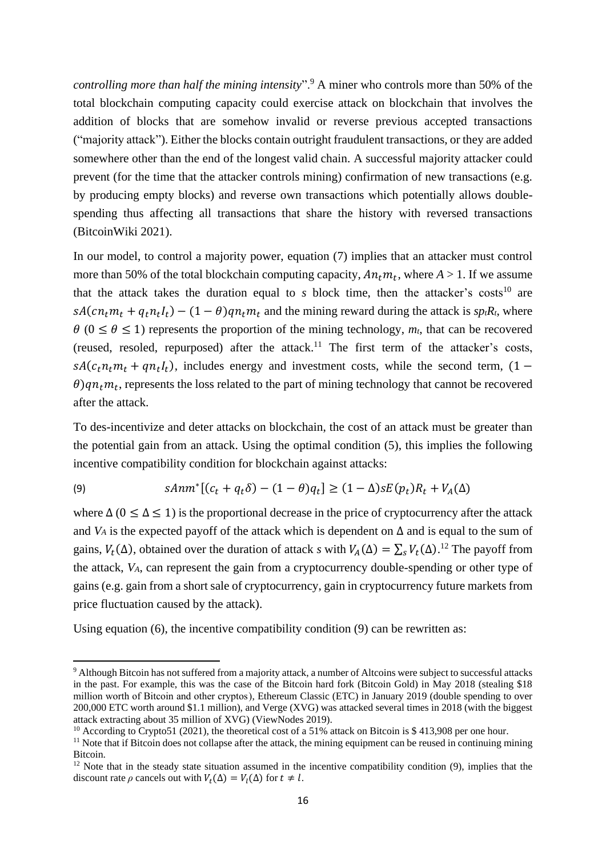*controlling more than half the mining intensity*".<sup>9</sup> A miner who controls more than 50% of the total blockchain computing capacity could exercise attack on blockchain that involves the addition of blocks that are somehow invalid or reverse previous accepted transactions ("majority attack"). Either the blocks contain outright fraudulent transactions, or they are added somewhere other than the end of the longest valid chain. A successful majority attacker could prevent (for the time that the attacker controls mining) confirmation of new transactions (e.g. by producing empty blocks) and reverse own transactions which potentially allows doublespending thus affecting all transactions that share the history with reversed transactions (BitcoinWiki 2021).

In our model, to control a majority power, equation [\(7\)](#page-13-3) implies that an attacker must control more than 50% of the total blockchain computing capacity,  $An_t m_t$ , where  $A > 1$ . If we assume that the attack takes the duration equal to  $s$  block time, then the attacker's costs<sup>10</sup> are  $sA(cn_t m_t + q_t n_t I_t) - (1 - \theta)qn_t m_t$  and the mining reward during the attack is  $s p_t R_t$ , where  $\theta$  ( $0 \le \theta \le 1$ ) represents the proportion of the mining technology,  $m_t$ , that can be recovered (reused, resoled, repurposed) after the attack. <sup>11</sup> The first term of the attacker's costs,  $sA(c_t n_t m_t + q n_t l_t)$ , includes energy and investment costs, while the second term, (1 –  $\theta$ ) $qn_t m_t$ , represents the loss related to the part of mining technology that cannot be recovered after the attack.

To des-incentivize and deter attacks on blockchain, the cost of an attack must be greater than the potential gain from an attack. Using the optimal condition [\(5\),](#page-13-1) this implies the following incentive compatibility condition for blockchain against attacks:

<span id="page-15-0"></span>
$$
(9) \qquad \qquad \text{SAnn}^*[(c_t + q_t \delta) - (1 - \theta)q_t] \ge (1 - \Delta)\text{sE}(p_t)R_t + V_A(\Delta)
$$

where  $\Delta$  (0  $\leq \Delta \leq 1$ ) is the proportional decrease in the price of cryptocurrency after the attack and *V<sub>A</sub>* is the expected payoff of the attack which is dependent on  $\Delta$  and is equal to the sum of gains,  $V_t(\Delta)$ , obtained over the duration of attack *s* with  $V_A(\Delta) = \sum_s V_t(\Delta)$ .<sup>12</sup> The payoff from the attack, *VA*, can represent the gain from a cryptocurrency double-spending or other type of gains (e.g. gain from a short sale of cryptocurrency, gain in cryptocurrency future markets from price fluctuation caused by the attack).

Using equation [\(6\),](#page-13-2) the incentive compatibility condition [\(9\)](#page-15-0) can be rewritten as:

<sup>9</sup> Although Bitcoin has not suffered from a majority attack, a number of Altcoins were subject to successful attacks in the past. For example, this was the case of the Bitcoin hard fork (Bitcoin Gold) in May 2018 (stealing \$18 million worth of Bitcoin and other cryptos ), Ethereum Classic (ETC) in January 2019 (double spending to over 200,000 ETC worth around \$1.1 million), and Verge (XVG) was attacked several times in 2018 (with the biggest attack extracting about 35 million of XVG) (ViewNodes 2019).

<sup>&</sup>lt;sup>10</sup> According to Crypto51 (2021), the theoretical cost of a 51% attack on Bitcoin is \$ 413,908 per one hour.

 $11$  Note that if Bitcoin does not collapse after the attack, the mining equipment can be reused in continuing mining Bitcoin.

 $12$  Note that in the steady state situation assumed in the incentive compatibility condition [\(9\),](#page-15-0) implies that the discount rate  $\rho$  cancels out with  $V_t(\Delta) = V_l(\Delta)$  for  $t \neq l$ .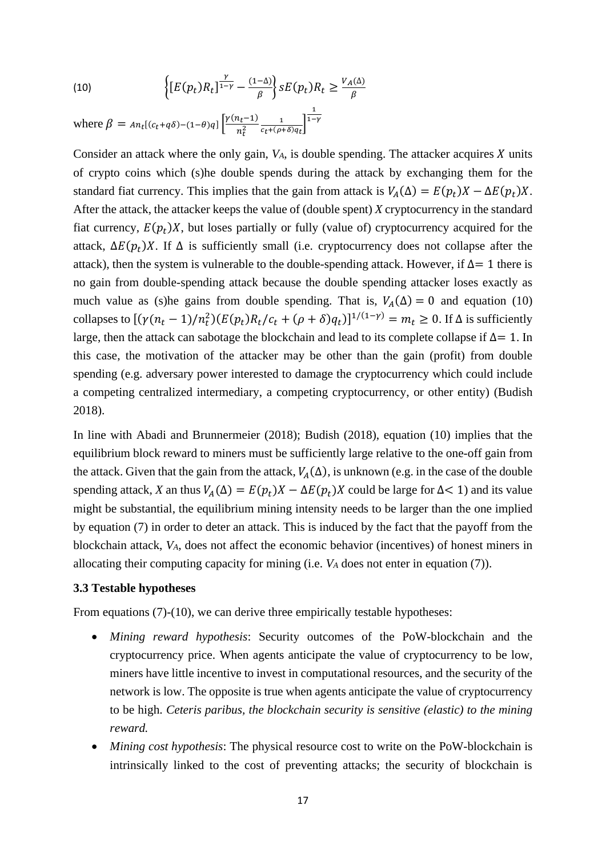<span id="page-16-0"></span>(10) 
$$
\left\{ [E(p_t)R_t]^{\frac{\gamma}{1-\gamma}} - \frac{(1-\Delta)}{\beta} \right\} sE(p_t)R_t \geq \frac{V_A(\Delta)}{\beta}
$$

where  $\beta = An_t[(c_t + q\delta) - (1-\theta)q] \left[ \frac{\gamma(n_t-1)}{n_t^2} \right]$  $rac{1}{n_t^2} \frac{1}{c_t+(\rho-1)}$  $\frac{1}{c_t+(\rho+\delta)q_t}$ 1  $1-\gamma$ 

Consider an attack where the only gain,  $V_A$ , is double spending. The attacker acquires  $X$  units of crypto coins which (s)he double spends during the attack by exchanging them for the standard fiat currency. This implies that the gain from attack is  $V_A(\Delta) = E(p_t)X - \Delta E(p_t)X$ . After the attack, the attacker keeps the value of (double spent) *X* cryptocurrency in the standard fiat currency,  $E(p_t)X$ , but loses partially or fully (value of) cryptocurrency acquired for the attack,  $\Delta E(p_t)X$ . If  $\Delta$  is sufficiently small (i.e. cryptocurrency does not collapse after the attack), then the system is vulnerable to the double-spending attack. However, if  $\Delta = 1$  there is no gain from double-spending attack because the double spending attacker loses exactly as much value as (s)he gains from double spending. That is,  $V_A(\Delta) = 0$  and equation [\(10\)](#page-16-0) collapses to  $[(\gamma(n_t - 1)/n_t^2)(E(p_t)R_t/c_t + (\rho + \delta)q_t)]^{1/(1-\gamma)} = m_t \ge 0$ . If  $\Delta$  is sufficiently large, then the attack can sabotage the blockchain and lead to its complete collapse if ∆= 1. In this case, the motivation of the attacker may be other than the gain (profit) from double spending (e.g. adversary power interested to damage the cryptocurrency which could include a competing centralized intermediary, a competing cryptocurrency, or other entity) (Budish 2018).

In line with Abadi and Brunnermeier (2018); Budish (2018), equation [\(10\)](#page-16-0) implies that the equilibrium block reward to miners must be sufficiently large relative to the one-off gain from the attack. Given that the gain from the attack,  $V_A(\Delta)$ , is unknown (e.g. in the case of the double spending attack, *X* an thus  $V_A(\Delta) = E(p_t)X - \Delta E(p_t)X$  could be large for  $\Delta < 1$ ) and its value might be substantial, the equilibrium mining intensity needs to be larger than the one implied by equation [\(7\)](#page-13-3) in order to deter an attack. This is induced by the fact that the payoff from the blockchain attack, *VA*, does not affect the economic behavior (incentives) of honest miners in allocating their computing capacity for mining (i.e. *V<sup>A</sup>* does not enter in equation [\(7\)\)](#page-13-3).

#### **3.3 Testable hypotheses**

From equations (7)-(10), we can derive three empirically testable hypotheses:

- *Mining reward hypothesis*: Security outcomes of the PoW-blockchain and the cryptocurrency price. When agents anticipate the value of cryptocurrency to be low, miners have little incentive to invest in computational resources, and the security of the network is low. The opposite is true when agents anticipate the value of cryptocurrency to be high. *Ceteris paribus, the blockchain security is sensitive (elastic) to the mining reward.*
- *Mining cost hypothesis*: The physical resource cost to write on the PoW-blockchain is intrinsically linked to the cost of preventing attacks; the security of blockchain is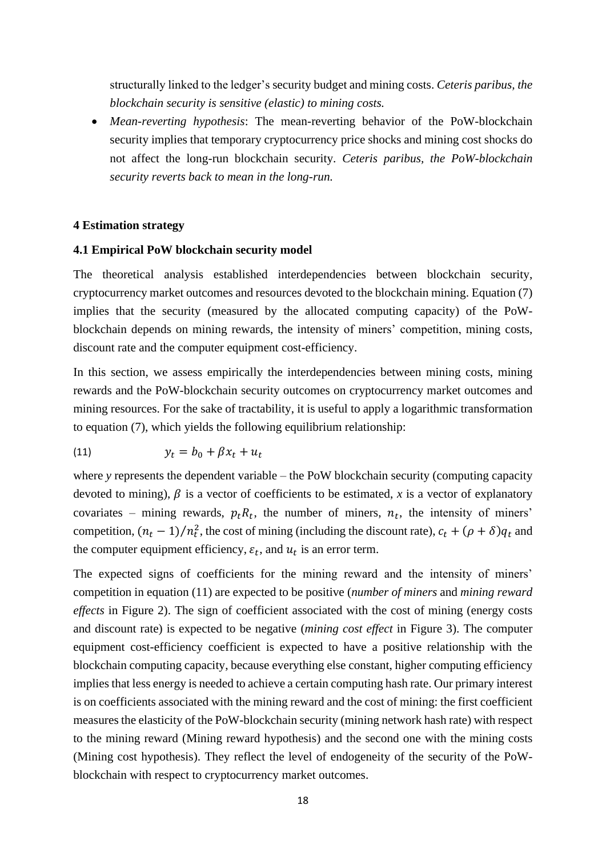structurally linked to the ledger's security budget and mining costs. *Ceteris paribus, the blockchain security is sensitive (elastic) to mining costs.* 

• *Mean-reverting hypothesis*: The mean-reverting behavior of the PoW-blockchain security implies that temporary cryptocurrency price shocks and mining cost shocks do not affect the long-run blockchain security. *Ceteris paribus, the PoW-blockchain security reverts back to mean in the long-run.*

#### **4 Estimation strategy**

# **4.1 Empirical PoW blockchain security model**

The theoretical analysis established interdependencies between blockchain security, cryptocurrency market outcomes and resources devoted to the blockchain mining. Equation [\(7\)](#page-13-3) implies that the security (measured by the allocated computing capacity) of the PoWblockchain depends on mining rewards, the intensity of miners' competition, mining costs, discount rate and the computer equipment cost-efficiency.

In this section, we assess empirically the interdependencies between mining costs, mining rewards and the PoW-blockchain security outcomes on cryptocurrency market outcomes and mining resources. For the sake of tractability, it is useful to apply a logarithmic transformation to equation [\(7\),](#page-13-3) which yields the following equilibrium relationship:

<span id="page-17-0"></span>
$$
(11) \t\t y_t = b_0 + \beta x_t + u_t
$$

where *y* represents the dependent variable – the PoW blockchain security (computing capacity devoted to mining),  $\beta$  is a vector of coefficients to be estimated, x is a vector of explanatory covariates – mining rewards,  $p_t R_t$ , the number of miners,  $n_t$ , the intensity of miners' competition,  $(n_t - 1)/n_t^2$ , the cost of mining (including the discount rate),  $c_t + (\rho + \delta)q_t$  and the computer equipment efficiency,  $\varepsilon_t$ , and  $u_t$  is an error term.

The expected signs of coefficients for the mining reward and the intensity of miners' competition in equation [\(11\)](#page-17-0) are expected to be positive (*number of miners* and *mining reward effects* in Figure 2). The sign of coefficient associated with the cost of mining (energy costs and discount rate) is expected to be negative (*mining cost effect* in Figure 3). The computer equipment cost-efficiency coefficient is expected to have a positive relationship with the blockchain computing capacity, because everything else constant, higher computing efficiency implies that less energy is needed to achieve a certain computing hash rate. Our primary interest is on coefficients associated with the mining reward and the cost of mining: the first coefficient measures the elasticity of the PoW-blockchain security (mining network hash rate) with respect to the mining reward (Mining reward hypothesis) and the second one with the mining costs (Mining cost hypothesis). They reflect the level of endogeneity of the security of the PoWblockchain with respect to cryptocurrency market outcomes.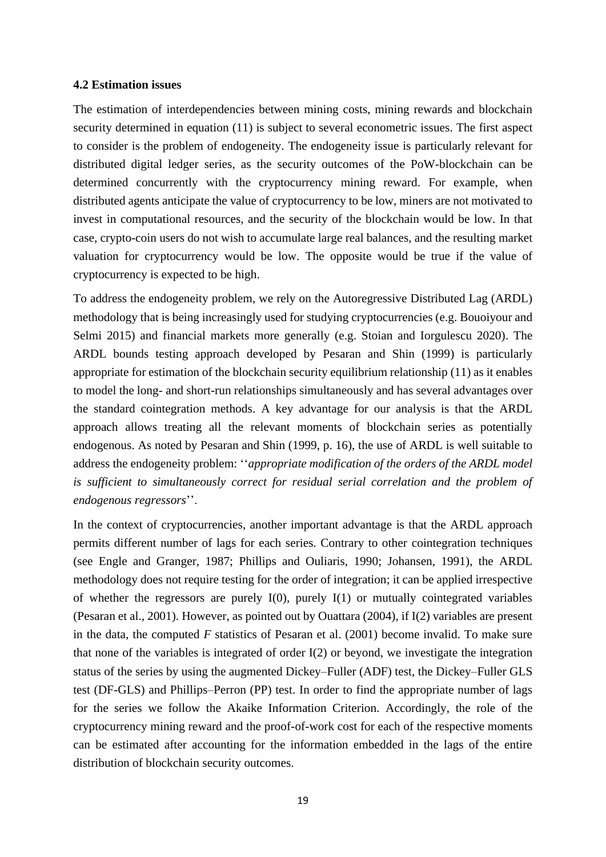#### **4.2 Estimation issues**

The estimation of interdependencies between mining costs, mining rewards and blockchain security determined in equation [\(11\)](#page-17-0) is subject to several econometric issues. The first aspect to consider is the problem of endogeneity. The endogeneity issue is particularly relevant for distributed digital ledger series, as the security outcomes of the PoW-blockchain can be determined concurrently with the cryptocurrency mining reward. For example, when distributed agents anticipate the value of cryptocurrency to be low, miners are not motivated to invest in computational resources, and the security of the blockchain would be low. In that case, crypto-coin users do not wish to accumulate large real balances, and the resulting market valuation for cryptocurrency would be low. The opposite would be true if the value of cryptocurrency is expected to be high.

To address the endogeneity problem, we rely on the Autoregressive Distributed Lag (ARDL) methodology that is being increasingly used for studying cryptocurrencies (e.g. Bouoiyour and Selmi 2015) and financial markets more generally (e.g. Stoian and Iorgulescu 2020). The ARDL bounds testing approach developed by Pesaran and Shin (1999) is particularly appropriate for estimation of the blockchain security equilibrium relationship [\(11\)](#page-17-0) as it enables to model the long- and short-run relationships simultaneously and has several advantages over the standard cointegration methods. A key advantage for our analysis is that the ARDL approach allows treating all the relevant moments of blockchain series as potentially endogenous. As noted by Pesaran and Shin (1999, p. 16), the use of ARDL is well suitable to address the endogeneity problem: ''*appropriate modification of the orders of the ARDL model is sufficient to simultaneously correct for residual serial correlation and the problem of endogenous regressors*''.

In the context of cryptocurrencies, another important advantage is that the ARDL approach permits different number of lags for each series. Contrary to other cointegration techniques (see Engle and Granger, 1987; Phillips and Ouliaris, 1990; Johansen, 1991), the ARDL methodology does not require testing for the order of integration; it can be applied irrespective of whether the regressors are purely  $I(0)$ , purely  $I(1)$  or mutually cointegrated variables (Pesaran et al., 2001). However, as pointed out by Ouattara (2004), if I(2) variables are present in the data, the computed *F* statistics of Pesaran et al. (2001) become invalid. To make sure that none of the variables is integrated of order I(2) or beyond, we investigate the integration status of the series by using the augmented Dickey–Fuller (ADF) test, the Dickey–Fuller GLS test (DF-GLS) and Phillips–Perron (PP) test. In order to find the appropriate number of lags for the series we follow the Akaike Information Criterion. Accordingly, the role of the cryptocurrency mining reward and the proof-of-work cost for each of the respective moments can be estimated after accounting for the information embedded in the lags of the entire distribution of blockchain security outcomes.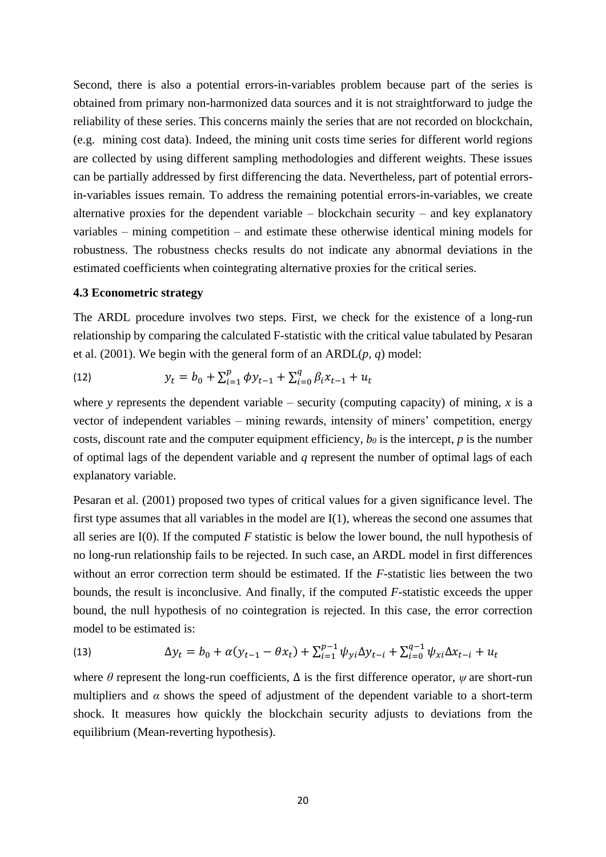Second, there is also a potential errors-in-variables problem because part of the series is obtained from primary non-harmonized data sources and it is not straightforward to judge the reliability of these series. This concerns mainly the series that are not recorded on blockchain, (e.g. mining cost data). Indeed, the mining unit costs time series for different world regions are collected by using different sampling methodologies and different weights. These issues can be partially addressed by first differencing the data. Nevertheless, part of potential errorsin-variables issues remain. To address the remaining potential errors-in-variables, we create alternative proxies for the dependent variable  $-$  blockchain security  $-$  and key explanatory variables – mining competition – and estimate these otherwise identical mining models for robustness. The robustness checks results do not indicate any abnormal deviations in the estimated coefficients when cointegrating alternative proxies for the critical series.

#### **4.3 Econometric strategy**

The ARDL procedure involves two steps. First, we check for the existence of a long-run relationship by comparing the calculated F-statistic with the critical value tabulated by Pesaran et al. (2001). We begin with the general form of an ARDL(*p, q*) model:

(12) 
$$
y_t = b_0 + \sum_{i=1}^p \phi y_{t-1} + \sum_{i=0}^q \beta_i x_{t-1} + u_t
$$

where *y* represents the dependent variable – security (computing capacity) of mining, *x* is a vector of independent variables – mining rewards, intensity of miners' competition, energy costs, discount rate and the computer equipment efficiency, *b<sup>0</sup>* is the intercept, *p* is the number of optimal lags of the dependent variable and *q* represent the number of optimal lags of each explanatory variable.

Pesaran et al. (2001) proposed two types of critical values for a given significance level. The first type assumes that all variables in the model are I(1), whereas the second one assumes that all series are I(0). If the computed *F* statistic is below the lower bound, the null hypothesis of no long-run relationship fails to be rejected. In such case, an ARDL model in first differences without an error correction term should be estimated. If the *F*-statistic lies between the two bounds, the result is inconclusive. And finally, if the computed *F*-statistic exceeds the upper bound, the null hypothesis of no cointegration is rejected. In this case, the error correction model to be estimated is:

(13) 
$$
\Delta y_t = b_0 + \alpha (y_{t-1} - \theta x_t) + \sum_{i=1}^{p-1} \psi_{yi} \Delta y_{t-i} + \sum_{i=0}^{q-1} \psi_{xi} \Delta x_{t-i} + u_t
$$

where  $\theta$  represent the long-run coefficients,  $\Delta$  is the first difference operator,  $\psi$  are short-run multipliers and  $\alpha$  shows the speed of adjustment of the dependent variable to a short-term shock. It measures how quickly the blockchain security adjusts to deviations from the equilibrium (Mean-reverting hypothesis).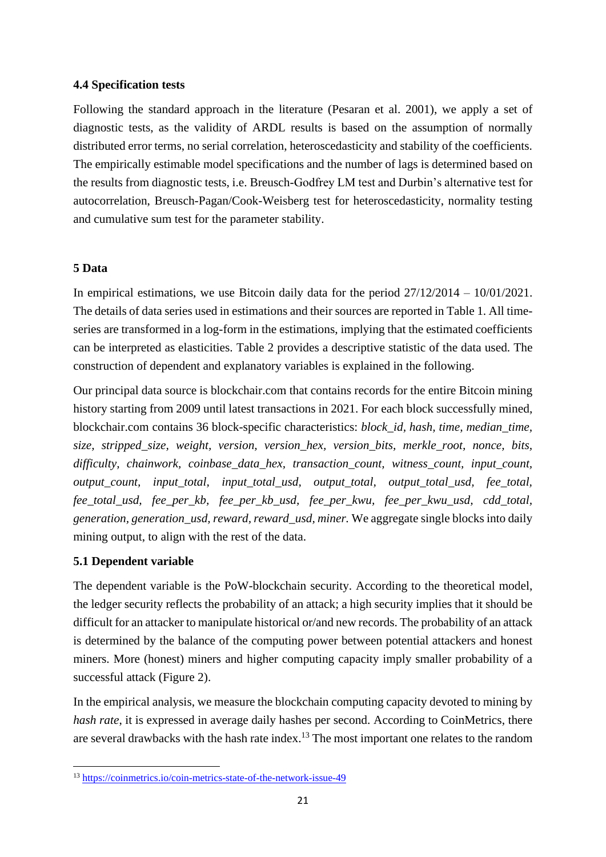### **4.4 Specification tests**

Following the standard approach in the literature (Pesaran et al. 2001), we apply a set of diagnostic tests, as the validity of ARDL results is based on the assumption of normally distributed error terms, no serial correlation, heteroscedasticity and stability of the coefficients. The empirically estimable model specifications and the number of lags is determined based on the results from diagnostic tests, i.e. Breusch-Godfrey LM test and Durbin's alternative test for autocorrelation, Breusch-Pagan/Cook-Weisberg test for heteroscedasticity, normality testing and cumulative sum test for the parameter stability.

### **5 Data**

In empirical estimations, we use Bitcoin daily data for the period 27/12/2014 – 10/01/2021. The details of data series used in estimations and their sources are reported in [Table 1.](#page-33-0) All timeseries are transformed in a log-form in the estimations, implying that the estimated coefficients can be interpreted as elasticities. [Table 2](#page-34-0) provides a descriptive statistic of the data used. The construction of dependent and explanatory variables is explained in the following.

Our principal data source is blockchair.com that contains records for the entire Bitcoin mining history starting from 2009 until latest transactions in 2021. For each block successfully mined, blockchair.com contains 36 block-specific characteristics: *block\_id, hash, time, median\_time, size, stripped\_size, weight, version, version\_hex, version\_bits, merkle\_root, nonce, bits, difficulty, chainwork, coinbase\_data\_hex, transaction\_count, witness\_count, input\_count, output\_count, input\_total, input\_total\_usd, output\_total, output\_total\_usd, fee\_total, fee\_total\_usd, fee\_per\_kb, fee\_per\_kb\_usd, fee\_per\_kwu, fee\_per\_kwu\_usd, cdd\_total, generation, generation\_usd, reward, reward\_usd, miner.* We aggregate single blocks into daily mining output, to align with the rest of the data.

# **5.1 Dependent variable**

The dependent variable is the PoW-blockchain security. According to the theoretical model, the ledger security reflects the probability of an attack; a high security implies that it should be difficult for an attacker to manipulate historical or/and new records. The probability of an attack is determined by the balance of the computing power between potential attackers and honest miners. More (honest) miners and higher computing capacity imply smaller probability of a successful attack (Figure 2).

In the empirical analysis, we measure the blockchain computing capacity devoted to mining by *hash rate*, it is expressed in average daily hashes per second. According to CoinMetrics, there are several drawbacks with the hash rate index.<sup>13</sup> The most important one relates to the random

<sup>13</sup> <https://coinmetrics.io/coin-metrics-state-of-the-network-issue-49>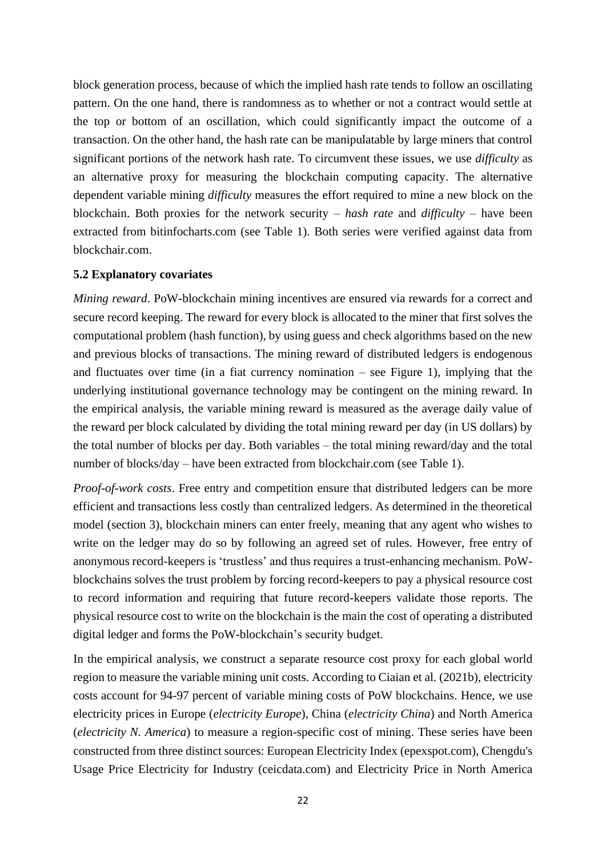block generation process, because of which the implied hash rate tends to follow an oscillating pattern. On the one hand, there is randomness as to whether or not a contract would settle at the top or bottom of an oscillation, which could significantly impact the outcome of a transaction. On the other hand, the hash rate can be manipulatable by large miners that control significant portions of the network hash rate. To circumvent these issues, we use *difficulty* as an alternative proxy for measuring the blockchain computing capacity. The alternative dependent variable mining *difficulty* measures the effort required to mine a new block on the blockchain. Both proxies for the network security – *hash rate* and *difficulty* – have been extracted from bitinfocharts.com (see Table 1). Both series were verified against data from blockchair.com.

### **5.2 Explanatory covariates**

*Mining reward*. PoW-blockchain mining incentives are ensured via rewards for a correct and secure record keeping. The reward for every block is allocated to the miner that first solves the computational problem (hash function), by using guess and check algorithms based on the new and previous blocks of transactions. The mining reward of distributed ledgers is endogenous and fluctuates over time (in a fiat currency nomination  $-$  see Figure 1), implying that the underlying institutional governance technology may be contingent on the mining reward. In the empirical analysis, the variable mining reward is measured as the average daily value of the reward per block calculated by dividing the total mining reward per day (in US dollars) by the total number of blocks per day. Both variables – the total mining reward/day and the total number of blocks/day – have been extracted from blockchair.com (see Table 1).

*Proof-of-work costs*. Free entry and competition ensure that distributed ledgers can be more efficient and transactions less costly than centralized ledgers. As determined in the theoretical model (section 3), blockchain miners can enter freely, meaning that any agent who wishes to write on the ledger may do so by following an agreed set of rules. However, free entry of anonymous record-keepers is 'trustless' and thus requires a trust-enhancing mechanism. PoWblockchains solves the trust problem by forcing record-keepers to pay a physical resource cost to record information and requiring that future record-keepers validate those reports. The physical resource cost to write on the blockchain is the main the cost of operating a distributed digital ledger and forms the PoW-blockchain's security budget.

In the empirical analysis, we construct a separate resource cost proxy for each global world region to measure the variable mining unit costs. According to Ciaian et al. (2021b), electricity costs account for 94-97 percent of variable mining costs of PoW blockchains. Hence, we use electricity prices in Europe (*electricity Europe*), China (*electricity China*) and North America (*electricity N. America*) to measure a region-specific cost of mining. These series have been constructed from three distinct sources: European Electricity Index (epexspot.com), Chengdu's Usage Price Electricity for Industry (ceicdata.com) and Electricity Price in North America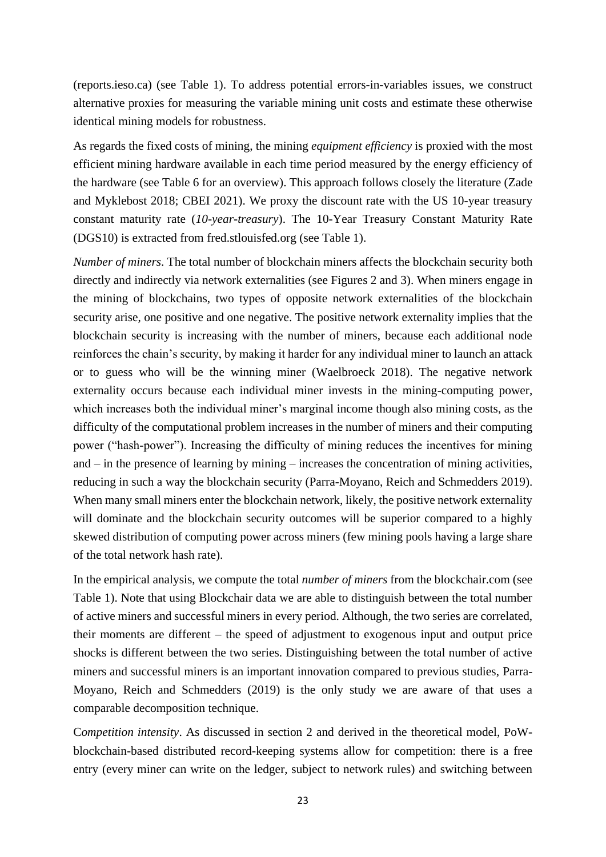(reports.ieso.ca) (see Table 1). To address potential errors-in-variables issues, we construct alternative proxies for measuring the variable mining unit costs and estimate these otherwise identical mining models for robustness.

As regards the fixed costs of mining, the mining *equipment efficiency* is proxied with the most efficient mining hardware available in each time period measured by the energy efficiency of the hardware (see Table 6 for an overview). This approach follows closely the literature (Zade and Myklebost 2018; CBEI 2021). We proxy the discount rate with the US 10-year treasury constant maturity rate (*10-year-treasury*). The 10-Year Treasury Constant Maturity Rate (DGS10) is extracted from fred.stlouisfed.org (see Table 1).

*Number of miners*. The total number of blockchain miners affects the blockchain security both directly and indirectly via network externalities (see Figures 2 and 3). When miners engage in the mining of blockchains, two types of opposite network externalities of the blockchain security arise, one positive and one negative. The positive network externality implies that the blockchain security is increasing with the number of miners, because each additional node reinforces the chain's security, by making it harder for any individual miner to launch an attack or to guess who will be the winning miner (Waelbroeck 2018). The negative network externality occurs because each individual miner invests in the mining-computing power, which increases both the individual miner's marginal income though also mining costs, as the difficulty of the computational problem increases in the number of miners and their computing power ("hash-power"). Increasing the difficulty of mining reduces the incentives for mining and – in the presence of learning by mining – increases the concentration of mining activities, reducing in such a way the blockchain security (Parra-Moyano, Reich and Schmedders 2019). When many small miners enter the blockchain network, likely, the positive network externality will dominate and the blockchain security outcomes will be superior compared to a highly skewed distribution of computing power across miners (few mining pools having a large share of the total network hash rate).

In the empirical analysis, we compute the total *number of miners* from the blockchair.com (see Table 1). Note that using Blockchair data we are able to distinguish between the total number of active miners and successful miners in every period. Although, the two series are correlated, their moments are different – the speed of adjustment to exogenous input and output price shocks is different between the two series. Distinguishing between the total number of active miners and successful miners is an important innovation compared to previous studies, Parra-Moyano, Reich and Schmedders (2019) is the only study we are aware of that uses a comparable decomposition technique.

C*ompetition intensity*. As discussed in section 2 and derived in the theoretical model, PoWblockchain-based distributed record-keeping systems allow for competition: there is a free entry (every miner can write on the ledger, subject to network rules) and switching between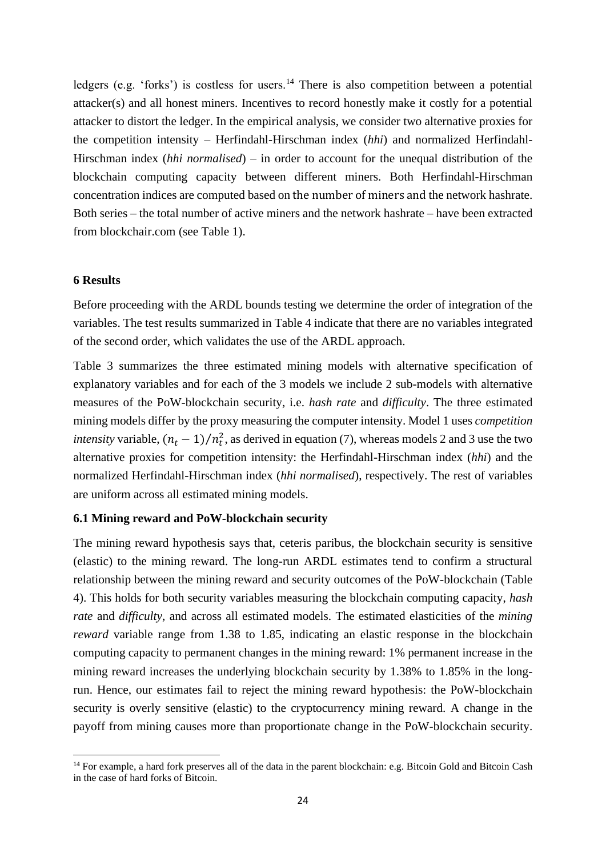ledgers (e.g. 'forks') is costless for users.<sup>14</sup> There is also competition between a potential attacker(s) and all honest miners. Incentives to record honestly make it costly for a potential attacker to distort the ledger. In the empirical analysis, we consider two alternative proxies for the competition intensity – Herfindahl-Hirschman index (*hhi*) and normalized Herfindahl-Hirschman index (*hhi normalised*) – in order to account for the unequal distribution of the blockchain computing capacity between different miners. Both Herfindahl-Hirschman concentration indices are computed based on the number of miners and the network hashrate. Both series – the total number of active miners and the network hashrate – have been extracted from blockchair.com (see Table 1).

#### **6 Results**

Before proceeding with the ARDL bounds testing we determine the order of integration of the variables. The test results summarized in Table 4 indicate that there are no variables integrated of the second order, which validates the use of the ARDL approach.

[Table 3](#page-34-1) summarizes the three estimated mining models with alternative specification of explanatory variables and for each of the 3 models we include 2 sub-models with alternative measures of the PoW-blockchain security, i.e. *hash rate* and *difficulty*. The three estimated mining models differ by the proxy measuring the computer intensity. Model 1 uses *competition intensity* variable,  $(n_t - 1)/n_t^2$ , as derived in equation [\(7\),](#page-13-3) whereas models 2 and 3 use the two alternative proxies for competition intensity: the Herfindahl-Hirschman index (*hhi*) and the normalized Herfindahl-Hirschman index (*hhi normalised*), respectively. The rest of variables are uniform across all estimated mining models.

### **6.1 Mining reward and PoW-blockchain security**

The mining reward hypothesis says that, ceteris paribus, the blockchain security is sensitive (elastic) to the mining reward. The long-run ARDL estimates tend to confirm a structural relationship between the mining reward and security outcomes of the PoW-blockchain [\(Table](#page-34-2)  [4\)](#page-34-2). This holds for both security variables measuring the blockchain computing capacity, *hash rate* and *difficulty*, and across all estimated models. The estimated elasticities of the *mining reward* variable range from 1.38 to 1.85, indicating an elastic response in the blockchain computing capacity to permanent changes in the mining reward: 1% permanent increase in the mining reward increases the underlying blockchain security by 1.38% to 1.85% in the longrun. Hence, our estimates fail to reject the mining reward hypothesis: the PoW-blockchain security is overly sensitive (elastic) to the cryptocurrency mining reward. A change in the payoff from mining causes more than proportionate change in the PoW-blockchain security.

<sup>&</sup>lt;sup>14</sup> For example, a hard fork preserves all of the data in the parent blockchain: e.g. Bitcoin Gold and Bitcoin Cash in the case of hard forks of Bitcoin.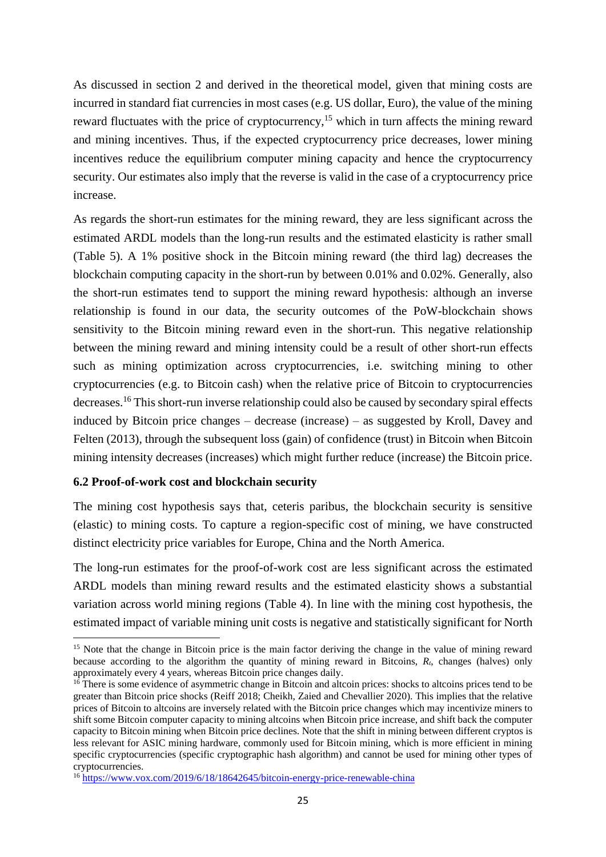As discussed in section 2 and derived in the theoretical model, given that mining costs are incurred in standard fiat currencies in most cases (e.g. US dollar, Euro), the value of the mining reward fluctuates with the price of cryptocurrency,<sup>15</sup> which in turn affects the mining reward and mining incentives. Thus, if the expected cryptocurrency price decreases, lower mining incentives reduce the equilibrium computer mining capacity and hence the cryptocurrency security. Our estimates also imply that the reverse is valid in the case of a cryptocurrency price increase.

As regards the short-run estimates for the mining reward, they are less significant across the estimated ARDL models than the long-run results and the estimated elasticity is rather small [\(Table 5\)](#page-35-0). A 1% positive shock in the Bitcoin mining reward (the third lag) decreases the blockchain computing capacity in the short-run by between 0.01% and 0.02%. Generally, also the short-run estimates tend to support the mining reward hypothesis: although an inverse relationship is found in our data, the security outcomes of the PoW-blockchain shows sensitivity to the Bitcoin mining reward even in the short-run. This negative relationship between the mining reward and mining intensity could be a result of other short-run effects such as mining optimization across cryptocurrencies, i.e. switching mining to other cryptocurrencies (e.g. to Bitcoin cash) when the relative price of Bitcoin to cryptocurrencies decreases.<sup>16</sup> This short-run inverse relationship could also be caused by secondary spiral effects induced by Bitcoin price changes – decrease (increase) – as suggested by Kroll, Davey and Felten (2013), through the subsequent loss (gain) of confidence (trust) in Bitcoin when Bitcoin mining intensity decreases (increases) which might further reduce (increase) the Bitcoin price.

# **6.2 Proof-of-work cost and blockchain security**

The mining cost hypothesis says that, ceteris paribus, the blockchain security is sensitive (elastic) to mining costs. To capture a region-specific cost of mining, we have constructed distinct electricity price variables for Europe, China and the North America.

The long-run estimates for the proof-of-work cost are less significant across the estimated ARDL models than mining reward results and the estimated elasticity shows a substantial variation across world mining regions [\(Table 4\)](#page-34-2). In line with the mining cost hypothesis, the estimated impact of variable mining unit costs is negative and statistically significant for North

<sup>&</sup>lt;sup>15</sup> Note that the change in Bitcoin price is the main factor deriving the change in the value of mining reward because according to the algorithm the quantity of mining reward in Bitcoins, *Rt*, changes (halves) only approximately every 4 years, whereas Bitcoin price changes daily.

<sup>&</sup>lt;sup>16</sup> There is some evidence of asymmetric change in Bitcoin and altcoin prices: shocks to altcoins prices tend to be greater than Bitcoin price shocks (Reiff 2018; Cheikh, Zaied and Chevallier 2020). This implies that the relative prices of Bitcoin to altcoins are inversely related with the Bitcoin price changes which may incentivize miners to shift some Bitcoin computer capacity to mining altcoins when Bitcoin price increase, and shift back the computer capacity to Bitcoin mining when Bitcoin price declines. Note that the shift in mining between different cryptos is less relevant for ASIC mining hardware, commonly used for Bitcoin mining, which is more efficient in mining specific cryptocurrencies (specific cryptographic hash algorithm) and cannot be used for mining other types of cryptocurrencies.

<sup>&</sup>lt;sup>16</sup> <https://www.vox.com/2019/6/18/18642645/bitcoin-energy-price-renewable-china>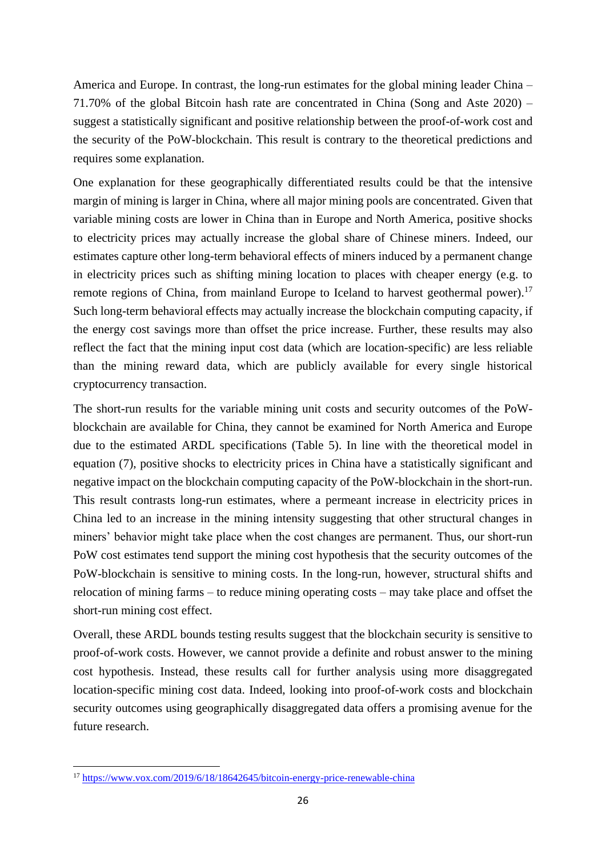America and Europe. In contrast, the long-run estimates for the global mining leader China – 71.70% of the global Bitcoin hash rate are concentrated in China (Song and Aste 2020) – suggest a statistically significant and positive relationship between the proof-of-work cost and the security of the PoW-blockchain. This result is contrary to the theoretical predictions and requires some explanation.

One explanation for these geographically differentiated results could be that the intensive margin of mining is larger in China, where all major mining pools are concentrated. Given that variable mining costs are lower in China than in Europe and North America, positive shocks to electricity prices may actually increase the global share of Chinese miners. Indeed, our estimates capture other long-term behavioral effects of miners induced by a permanent change in electricity prices such as shifting mining location to places with cheaper energy (e.g. to remote regions of China, from mainland Europe to Iceland to harvest geothermal power).<sup>17</sup> Such long-term behavioral effects may actually increase the blockchain computing capacity, if the energy cost savings more than offset the price increase. Further, these results may also reflect the fact that the mining input cost data (which are location-specific) are less reliable than the mining reward data, which are publicly available for every single historical cryptocurrency transaction.

The short-run results for the variable mining unit costs and security outcomes of the PoWblockchain are available for China, they cannot be examined for North America and Europe due to the estimated ARDL specifications [\(Table 5\)](#page-35-0). In line with the theoretical model in equation [\(7\),](#page-13-3) positive shocks to electricity prices in China have a statistically significant and negative impact on the blockchain computing capacity of the PoW-blockchain in the short-run. This result contrasts long-run estimates, where a permeant increase in electricity prices in China led to an increase in the mining intensity suggesting that other structural changes in miners' behavior might take place when the cost changes are permanent. Thus, our short-run PoW cost estimates tend support the mining cost hypothesis that the security outcomes of the PoW-blockchain is sensitive to mining costs. In the long-run, however, structural shifts and relocation of mining farms – to reduce mining operating costs – may take place and offset the short-run mining cost effect.

Overall, these ARDL bounds testing results suggest that the blockchain security is sensitive to proof-of-work costs. However, we cannot provide a definite and robust answer to the mining cost hypothesis. Instead, these results call for further analysis using more disaggregated location-specific mining cost data. Indeed, looking into proof-of-work costs and blockchain security outcomes using geographically disaggregated data offers a promising avenue for the future research.

<sup>17</sup> <https://www.vox.com/2019/6/18/18642645/bitcoin-energy-price-renewable-china>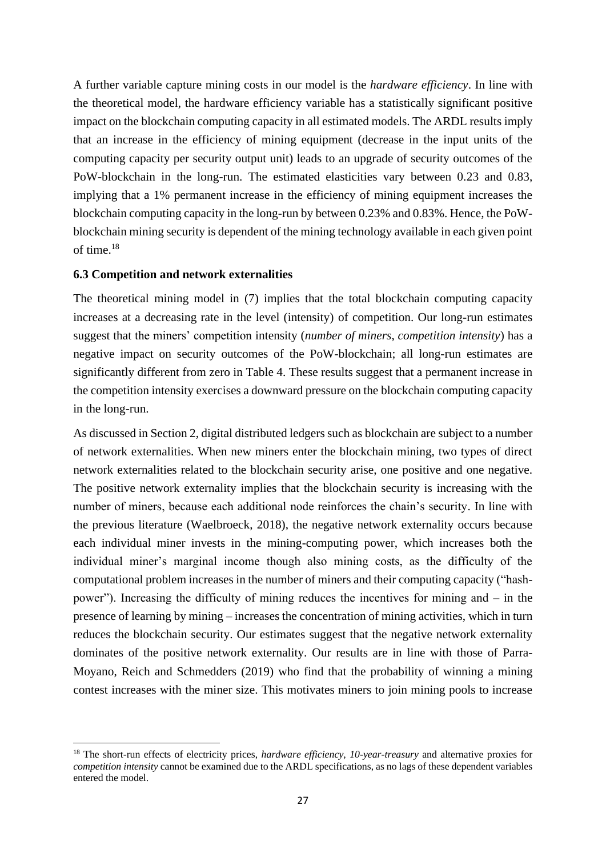A further variable capture mining costs in our model is the *hardware efficiency*. In line with the theoretical model, the hardware efficiency variable has a statistically significant positive impact on the blockchain computing capacity in all estimated models. The ARDL results imply that an increase in the efficiency of mining equipment (decrease in the input units of the computing capacity per security output unit) leads to an upgrade of security outcomes of the PoW-blockchain in the long-run. The estimated elasticities vary between 0.23 and 0.83, implying that a 1% permanent increase in the efficiency of mining equipment increases the blockchain computing capacity in the long-run by between 0.23% and 0.83%. Hence, the PoWblockchain mining security is dependent of the mining technology available in each given point of time.<sup>18</sup>

#### **6.3 Competition and network externalities**

The theoretical mining model in [\(7\)](#page-13-3) implies that the total blockchain computing capacity increases at a decreasing rate in the level (intensity) of competition. Our long-run estimates suggest that the miners' competition intensity (*number of miners*, *competition intensity*) has a negative impact on security outcomes of the PoW-blockchain; all long-run estimates are significantly different from zero in [Table 4.](#page-34-2) These results suggest that a permanent increase in the competition intensity exercises a downward pressure on the blockchain computing capacity in the long-run.

As discussed in Section 2, digital distributed ledgers such as blockchain are subject to a number of network externalities. When new miners enter the blockchain mining, two types of direct network externalities related to the blockchain security arise, one positive and one negative. The positive network externality implies that the blockchain security is increasing with the number of miners, because each additional node reinforces the chain's security. In line with the previous literature (Waelbroeck, 2018), the negative network externality occurs because each individual miner invests in the mining-computing power, which increases both the individual miner's marginal income though also mining costs, as the difficulty of the computational problem increases in the number of miners and their computing capacity ("hashpower"). Increasing the difficulty of mining reduces the incentives for mining and – in the presence of learning by mining – increases the concentration of mining activities, which in turn reduces the blockchain security. Our estimates suggest that the negative network externality dominates of the positive network externality. Our results are in line with those of Parra-Moyano, Reich and Schmedders (2019) who find that the probability of winning a mining contest increases with the miner size. This motivates miners to join mining pools to increase

<sup>18</sup> The short-run effects of electricity prices, *hardware efficiency*, *10-year-treasury* and alternative proxies for *competition intensity* cannot be examined due to the ARDL specifications, as no lags of these dependent variables entered the model.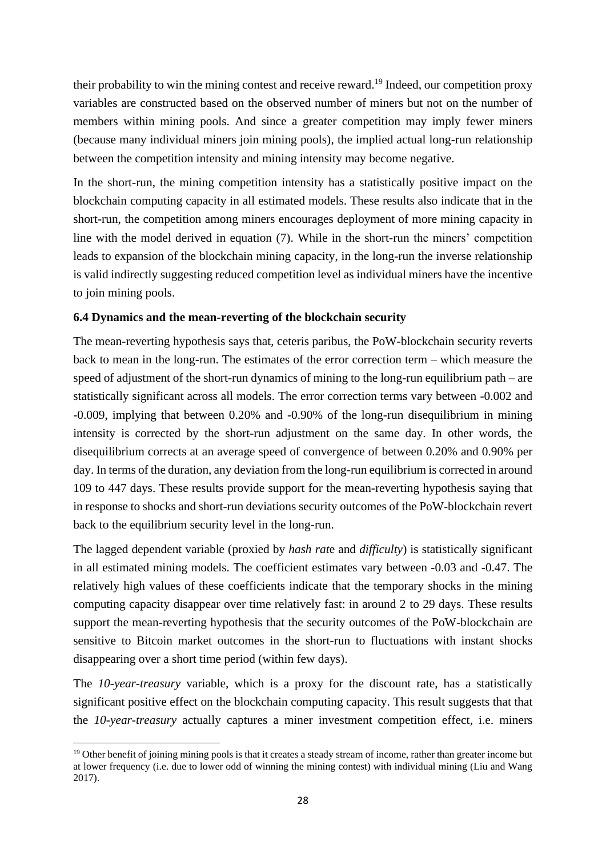their probability to win the mining contest and receive reward. <sup>19</sup> Indeed, our competition proxy variables are constructed based on the observed number of miners but not on the number of members within mining pools. And since a greater competition may imply fewer miners (because many individual miners join mining pools), the implied actual long-run relationship between the competition intensity and mining intensity may become negative.

In the short-run, the mining competition intensity has a statistically positive impact on the blockchain computing capacity in all estimated models. These results also indicate that in the short-run, the competition among miners encourages deployment of more mining capacity in line with the model derived in equation [\(7\).](#page-13-3) While in the short-run the miners' competition leads to expansion of the blockchain mining capacity, in the long-run the inverse relationship is valid indirectly suggesting reduced competition level as individual miners have the incentive to join mining pools.

# **6.4 Dynamics and the mean-reverting of the blockchain security**

The mean-reverting hypothesis says that, ceteris paribus, the PoW-blockchain security reverts back to mean in the long-run. The estimates of the error correction term – which measure the speed of adjustment of the short-run dynamics of mining to the long-run equilibrium path – are statistically significant across all models. The error correction terms vary between -0.002 and -0.009, implying that between 0.20% and -0.90% of the long-run disequilibrium in mining intensity is corrected by the short-run adjustment on the same day. In other words, the disequilibrium corrects at an average speed of convergence of between 0.20% and 0.90% per day. In terms of the duration, any deviation from the long-run equilibrium is corrected in around 109 to 447 days. These results provide support for the mean-reverting hypothesis saying that in response to shocks and short-run deviations security outcomes of the PoW-blockchain revert back to the equilibrium security level in the long-run.

The lagged dependent variable (proxied by *hash rat*e and *difficulty*) is statistically significant in all estimated mining models. The coefficient estimates vary between -0.03 and -0.47. The relatively high values of these coefficients indicate that the temporary shocks in the mining computing capacity disappear over time relatively fast: in around 2 to 29 days. These results support the mean-reverting hypothesis that the security outcomes of the PoW-blockchain are sensitive to Bitcoin market outcomes in the short-run to fluctuations with instant shocks disappearing over a short time period (within few days).

The *10-year-treasury* variable, which is a proxy for the discount rate, has a statistically significant positive effect on the blockchain computing capacity. This result suggests that that the *10-year-treasury* actually captures a miner investment competition effect, i.e. miners

 $19$  Other benefit of joining mining pools is that it creates a steady stream of income, rather than greater income but at lower frequency (i.e. due to lower odd of winning the mining contest) with individual mining (Liu and Wang 2017).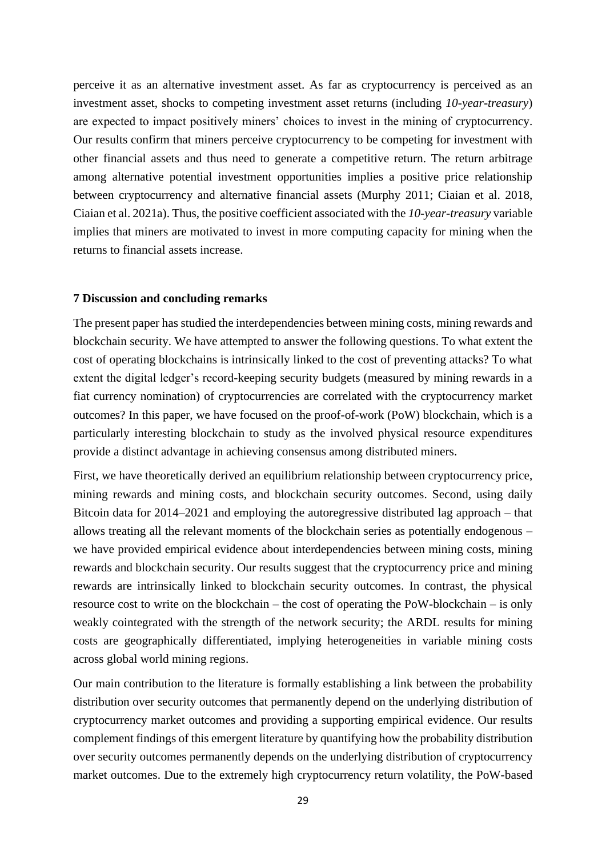perceive it as an alternative investment asset. As far as cryptocurrency is perceived as an investment asset, shocks to competing investment asset returns (including *10-year-treasury*) are expected to impact positively miners' choices to invest in the mining of cryptocurrency. Our results confirm that miners perceive cryptocurrency to be competing for investment with other financial assets and thus need to generate a competitive return. The return arbitrage among alternative potential investment opportunities implies a positive price relationship between cryptocurrency and alternative financial assets (Murphy 2011; Ciaian et al. 2018, Ciaian et al. 2021a). Thus, the positive coefficient associated with the *10-year-treasury* variable implies that miners are motivated to invest in more computing capacity for mining when the returns to financial assets increase.

#### **7 Discussion and concluding remarks**

The present paper has studied the interdependencies between mining costs, mining rewards and blockchain security. We have attempted to answer the following questions. To what extent the cost of operating blockchains is intrinsically linked to the cost of preventing attacks? To what extent the digital ledger's record-keeping security budgets (measured by mining rewards in a fiat currency nomination) of cryptocurrencies are correlated with the cryptocurrency market outcomes? In this paper, we have focused on the proof-of-work (PoW) blockchain, which is a particularly interesting blockchain to study as the involved physical resource expenditures provide a distinct advantage in achieving consensus among distributed miners.

First, we have theoretically derived an equilibrium relationship between cryptocurrency price, mining rewards and mining costs, and blockchain security outcomes. Second, using daily Bitcoin data for 2014–2021 and employing the autoregressive distributed lag approach – that allows treating all the relevant moments of the blockchain series as potentially endogenous – we have provided empirical evidence about interdependencies between mining costs, mining rewards and blockchain security. Our results suggest that the cryptocurrency price and mining rewards are intrinsically linked to blockchain security outcomes. In contrast, the physical resource cost to write on the blockchain – the cost of operating the PoW-blockchain – is only weakly cointegrated with the strength of the network security; the ARDL results for mining costs are geographically differentiated, implying heterogeneities in variable mining costs across global world mining regions.

Our main contribution to the literature is formally establishing a link between the probability distribution over security outcomes that permanently depend on the underlying distribution of cryptocurrency market outcomes and providing a supporting empirical evidence. Our results complement findings of this emergent literature by quantifying how the probability distribution over security outcomes permanently depends on the underlying distribution of cryptocurrency market outcomes. Due to the extremely high cryptocurrency return volatility, the PoW-based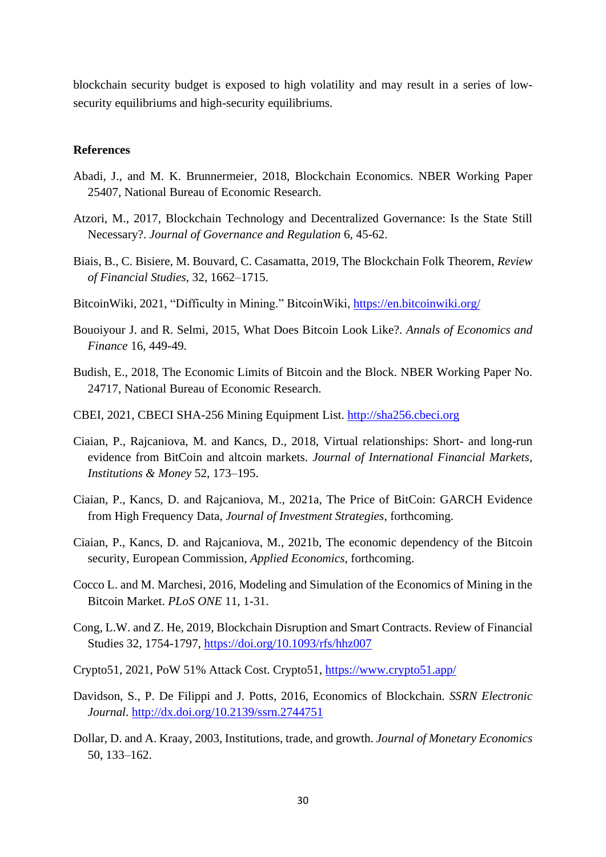blockchain security budget is exposed to high volatility and may result in a series of lowsecurity equilibriums and high-security equilibriums.

#### **References**

- Abadi, J., and M. K. Brunnermeier, 2018, Blockchain Economics. NBER Working Paper 25407, National Bureau of Economic Research.
- Atzori, M., 2017, Blockchain Technology and Decentralized Governance: Is the State Still Necessary?. *Journal of Governance and Regulation* 6, 45-62.
- Biais, B., C. Bisiere, M. Bouvard, C. Casamatta, 2019, The Blockchain Folk Theorem, *Review of Financial Studies*, 32, 1662–1715.
- BitcoinWiki, 2021, "Difficulty in Mining." BitcoinWiki, https://en.bitcoinwiki.org/
- Bouoiyour J. and R. Selmi, 2015, What Does Bitcoin Look Like?. *Annals of Economics and Finance* 16, 449-49.
- Budish, E., 2018, The Economic Limits of Bitcoin and the Block. NBER Working Paper No. 24717, National Bureau of Economic Research.
- CBEI, 2021, CBECI SHA-256 Mining Equipment List. [http://sha256.cbeci.org](http://sha256.cbeci.org/)
- Ciaian, P., Rajcaniova, M. and Kancs, D., 2018, Virtual relationships: Short- and long-run evidence from BitCoin and altcoin markets. *Journal of International Financial Markets, Institutions & Money* 52, 173–195.
- Ciaian, P., Kancs, D. and Rajcaniova, M., 2021a, The Price of BitCoin: GARCH Evidence from High Frequency Data, *Journal of Investment Strategies*, forthcoming.
- Ciaian, P., Kancs, D. and Rajcaniova, M., 2021b, The economic dependency of the Bitcoin security, European Commission, *Applied Economics*, forthcoming.
- Cocco L. and M. Marchesi, 2016, Modeling and Simulation of the Economics of Mining in the Bitcoin Market. *PLoS ONE* 11, 1-31.
- Cong, L.W. and Z. He, 2019, Blockchain Disruption and Smart Contracts. Review of Financial Studies 32, 1754-1797,<https://doi.org/10.1093/rfs/hhz007>
- Crypto51, 2021, PoW 51% Attack Cost. Crypto51,<https://www.crypto51.app/>
- Davidson, S., P. De Filippi and J. Potts, 2016, Economics of Blockchain. *SSRN Electronic Journal*. <http://dx.doi.org/10.2139/ssrn.2744751>
- Dollar, D. and A. Kraay, 2003, Institutions, trade, and growth. *Journal of Monetary Economics* 50, 133–162.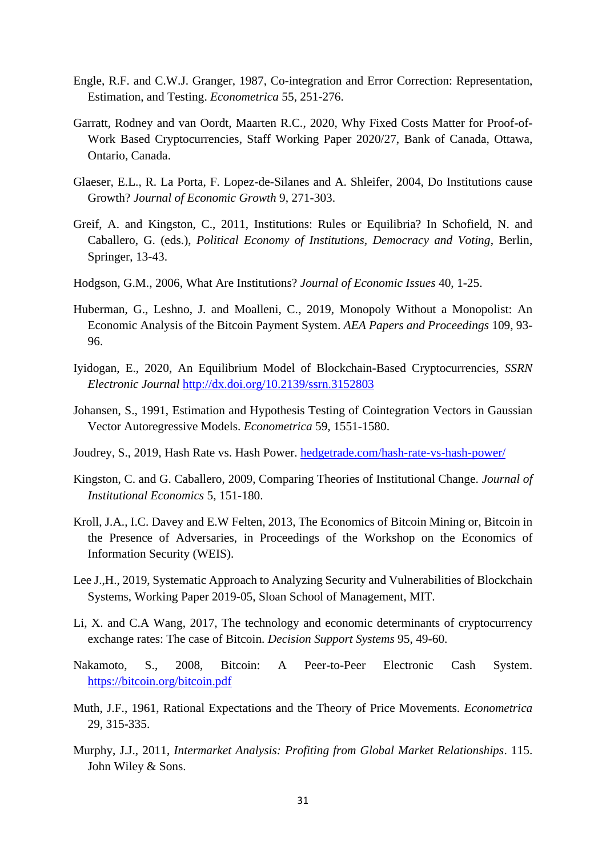- Engle, R.F. and C.W.J. Granger, 1987, Co-integration and Error Correction: Representation, Estimation, and Testing. *Econometrica* 55, 251-276.
- Garratt, Rodney and van Oordt, Maarten R.C., 2020, Why Fixed Costs Matter for Proof-of-Work Based Cryptocurrencies, Staff Working Paper 2020/27, Bank of Canada, Ottawa, Ontario, Canada.
- Glaeser, E.L., R. La Porta, F. Lopez-de-Silanes and A. Shleifer, 2004, Do Institutions cause Growth? *Journal of Economic Growth* 9, 271-303.
- Greif, A. and Kingston, C., 2011, Institutions: Rules or Equilibria? In Schofield, N. and Caballero, G. (eds.), *Political Economy of Institutions, Democracy and Voting*, Berlin, Springer, 13-43.
- Hodgson, G.M., 2006, What Are Institutions? *Journal of Economic Issues* 40, 1-25.
- Huberman, G., Leshno, J. and Moalleni, C., 2019, Monopoly Without a Monopolist: An Economic Analysis of the Bitcoin Payment System. *AEA Papers and Proceedings* 109, 93- 96.
- Iyidogan, E., 2020, An Equilibrium Model of Blockchain-Based Cryptocurrencies, *SSRN Electronic Journal* <http://dx.doi.org/10.2139/ssrn.3152803>
- Johansen, S., 1991, Estimation and Hypothesis Testing of Cointegration Vectors in Gaussian Vector Autoregressive Models. *Econometrica* 59, 1551-1580.
- Joudrey, S., 2019, Hash Rate vs. Hash Power. [hedgetrade.com/hash-rate-vs-hash-power/](https://hedgetrade.com/hash-rate-vs-hash-power/)
- Kingston, C. and G. Caballero, 2009, Comparing Theories of Institutional Change. *Journal of Institutional Economics* 5, 151-180.
- Kroll, J.A., I.C. Davey and E.W Felten, 2013, The Economics of Bitcoin Mining or, Bitcoin in the Presence of Adversaries, in Proceedings of the Workshop on the Economics of Information Security (WEIS).
- Lee J.,H., 2019, Systematic Approach to Analyzing Security and Vulnerabilities of Blockchain Systems, Working Paper 2019-05, Sloan School of Management, MIT.
- Li, X. and C.A Wang, 2017, The technology and economic determinants of cryptocurrency exchange rates: The case of Bitcoin. *Decision Support Systems* 95, 49-60.
- Nakamoto, S., 2008, Bitcoin: A Peer-to-Peer Electronic Cash System. <https://bitcoin.org/bitcoin.pdf>
- Muth, J.F., 1961, Rational Expectations and the Theory of Price Movements. *Econometrica* 29, 315-335.
- Murphy, J.J., 2011, *Intermarket Analysis: Profiting from Global Market Relationships*. 115. John Wiley & Sons.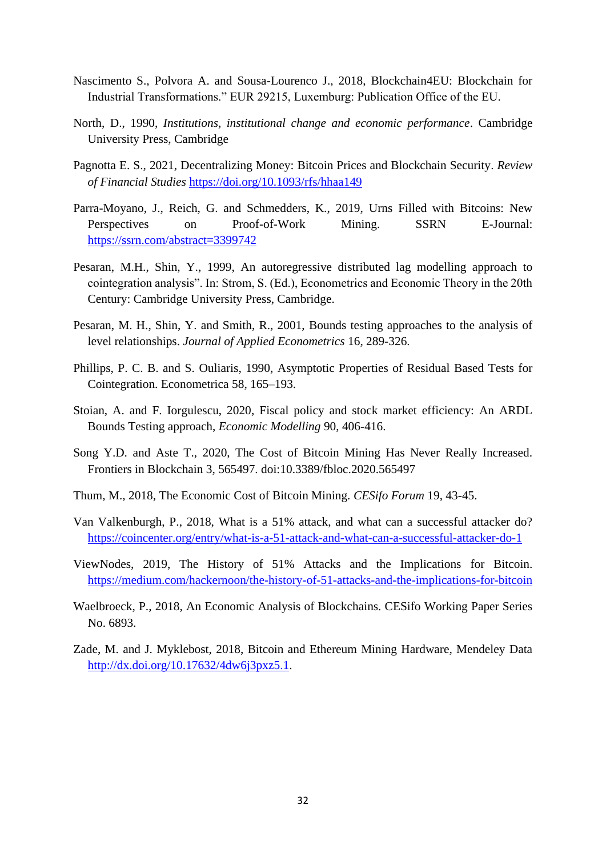- Nascimento S., Polvora A. and Sousa-Lourenco J., 2018, Blockchain4EU: Blockchain for Industrial Transformations." EUR 29215, Luxemburg: Publication Office of the EU.
- North, D., 1990, *Institutions, institutional change and economic performance*. Cambridge University Press, Cambridge
- Pagnotta E. S., 2021, Decentralizing Money: Bitcoin Prices and Blockchain Security. *Review of Financial Studies* <https://doi.org/10.1093/rfs/hhaa149>
- Parra-Moyano, J., Reich, G. and Schmedders, K., 2019, Urns Filled with Bitcoins: New Perspectives on Proof-of-Work Mining. SSRN E-Journal: <https://ssrn.com/abstract=3399742>
- Pesaran, M.H., Shin, Y., 1999, An autoregressive distributed lag modelling approach to cointegration analysis". In: Strom, S. (Ed.), Econometrics and Economic Theory in the 20th Century: Cambridge University Press, Cambridge.
- Pesaran, M. H., Shin, Y. and Smith, R., 2001, Bounds testing approaches to the analysis of level relationships. *Journal of Applied Econometrics* 16, 289-326.
- Phillips, P. C. B. and S. Ouliaris, 1990, Asymptotic Properties of Residual Based Tests for Cointegration. Econometrica 58, 165–193.
- Stoian, A. and F. Iorgulescu, 2020, Fiscal policy and stock market efficiency: An ARDL Bounds Testing approach, *Economic Modelling* 90, 406-416.
- Song Y.D. and Aste T., 2020, The Cost of Bitcoin Mining Has Never Really Increased. Frontiers in Blockchain 3, 565497. doi:10.3389/fbloc.2020.565497
- Thum, M., 2018, The Economic Cost of Bitcoin Mining. *CESifo Forum* 19, 43-45.
- Van Valkenburgh, P., 2018, What is a 51% attack, and what can a successful attacker do? <https://coincenter.org/entry/what-is-a-51-attack-and-what-can-a-successful-attacker-do-1>
- ViewNodes, 2019, The History of 51% Attacks and the Implications for Bitcoin. <https://medium.com/hackernoon/the-history-of-51-attacks-and-the-implications-for-bitcoin>
- Waelbroeck, P., 2018, An Economic Analysis of Blockchains. CESifo Working Paper Series No. 6893.
- Zade, M. and J. Myklebost, 2018, Bitcoin and Ethereum Mining Hardware, Mendeley Data [http://dx.doi.org/10.17632/4dw6j3pxz5.1.](http://dx.doi.org/10.17632/4dw6j3pxz5.1)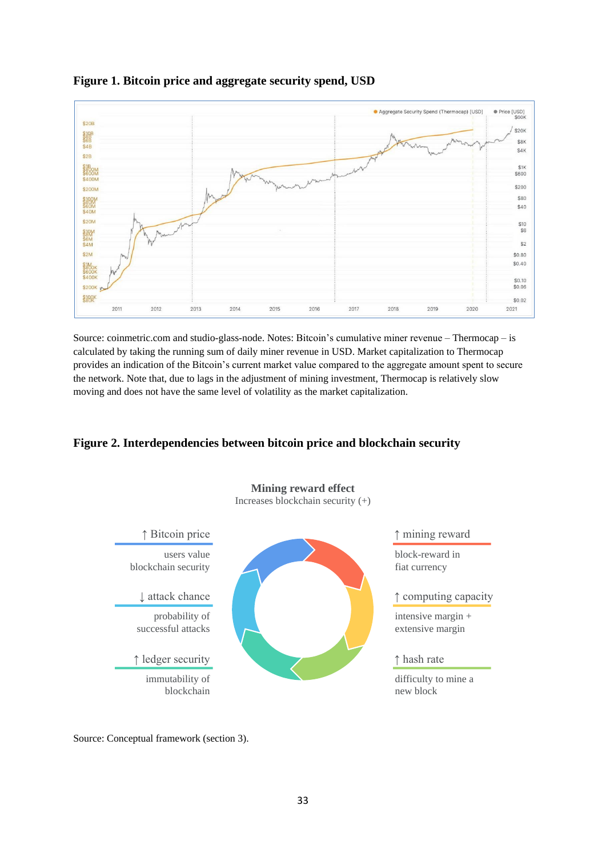

### **Figure 1. Bitcoin price and aggregate security spend, USD**

Source: coinmetric.com and studio-glass-node. Notes: Bitcoin's cumulative miner revenue – Thermocap – is calculated by taking the running sum of daily miner revenue in USD. Market capitalization to Thermocap provides an indication of the Bitcoin's current market value compared to the aggregate amount spent to secure the network. Note that, due to lags in the adjustment of mining investment, Thermocap is relatively slow moving and does not have the same level of volatility as the market capitalization.

# **Figure 2. Interdependencies between bitcoin price and blockchain security**



Source: Conceptual framework (section 3).

33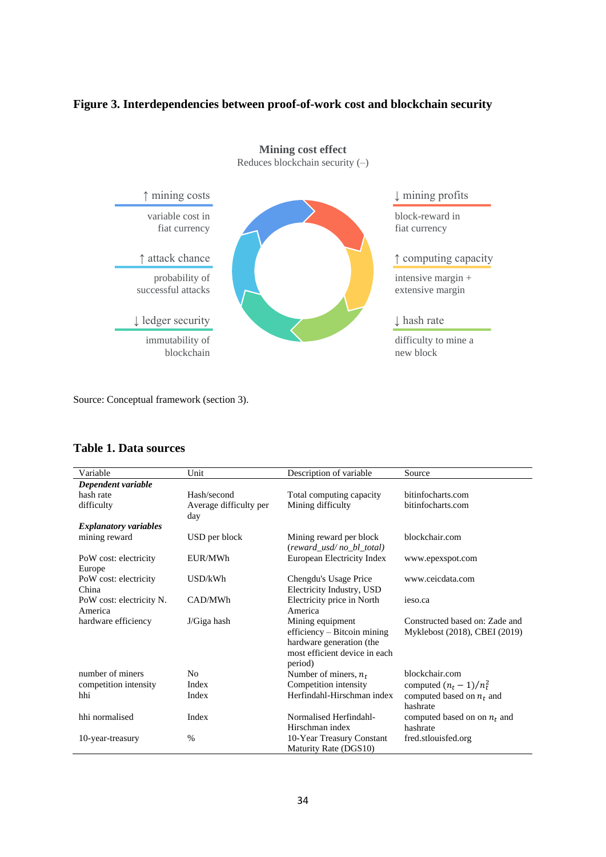### **Figure 3. Interdependencies between proof-of-work cost and blockchain security**



Source: Conceptual framework (section 3).

### <span id="page-33-0"></span>**Table 1. Data sources**

| Variable                            | Unit                          | Description of variable                                                                                                 | Source                                                          |
|-------------------------------------|-------------------------------|-------------------------------------------------------------------------------------------------------------------------|-----------------------------------------------------------------|
| Dependent variable                  |                               |                                                                                                                         |                                                                 |
| hash rate                           | Hash/second                   | Total computing capacity                                                                                                | bitinfocharts.com                                               |
| difficulty                          | Average difficulty per<br>day | Mining difficulty                                                                                                       | bitinfocharts.com                                               |
| <b>Explanatory variables</b>        |                               |                                                                                                                         |                                                                 |
| mining reward                       | USD per block                 | Mining reward per block<br>(reward_usd/no_bl_total)                                                                     | blockchair.com                                                  |
| PoW cost: electricity<br>Europe     | EUR/MWh                       | European Electricity Index                                                                                              | www.epexspot.com                                                |
| PoW cost: electricity<br>China      | USD/kWh                       | Chengdu's Usage Price<br>Electricity Industry, USD                                                                      | www.ceicdata.com                                                |
| PoW cost: electricity N.<br>America | CAD/MWh                       | Electricity price in North<br>America                                                                                   | ieso.ca                                                         |
| hardware efficiency                 | $J/G$ iga hash                | Mining equipment<br>efficiency - Bitcoin mining<br>hardware generation (the<br>most efficient device in each<br>period) | Constructed based on: Zade and<br>Myklebost (2018), CBEI (2019) |
| number of miners                    | N <sub>0</sub>                | Number of miners, $n_t$                                                                                                 | blockchair.com                                                  |
| competition intensity               | Index                         | Competition intensity                                                                                                   | computed $(n_t - 1)/n_t^2$                                      |
| hhi                                 | Index                         | Herfindahl-Hirschman index                                                                                              | computed based on $n_t$ and<br>hashrate                         |
| hhi normalised                      | Index                         | Normalised Herfindahl-<br>Hirschman index                                                                               | computed based on on $n_t$ and<br>hashrate                      |
| 10-year-treasury                    | $\%$                          | 10-Year Treasury Constant<br>Maturity Rate (DGS10)                                                                      | fred.stlouisfed.org                                             |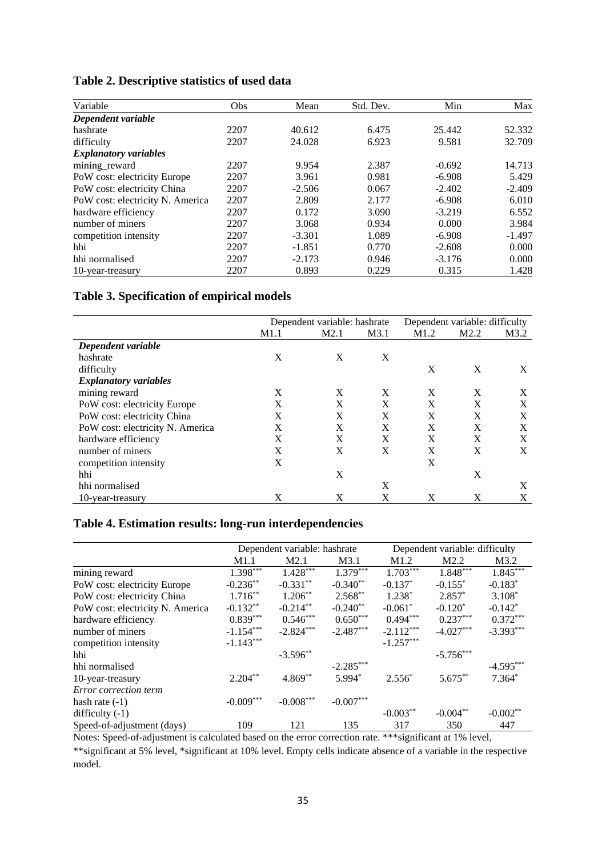<span id="page-34-0"></span>

| Table 2. Descriptive statistics of used data |  |  |  |
|----------------------------------------------|--|--|--|
|----------------------------------------------|--|--|--|

| Variable                         | <b>Obs</b> | Mean     | Std. Dev. | Min      | Max      |
|----------------------------------|------------|----------|-----------|----------|----------|
| Dependent variable               |            |          |           |          |          |
| hashrate                         | 2207       | 40.612   | 6.475     | 25.442   | 52.332   |
| difficulty                       | 2207       | 24.028   | 6.923     | 9.581    | 32.709   |
| <b>Explanatory variables</b>     |            |          |           |          |          |
| mining_reward                    | 2207       | 9.954    | 2.387     | $-0.692$ | 14.713   |
| PoW cost: electricity Europe     | 2207       | 3.961    | 0.981     | $-6.908$ | 5.429    |
| PoW cost: electricity China      | 2207       | $-2.506$ | 0.067     | $-2.402$ | $-2.409$ |
| PoW cost: electricity N. America | 2207       | 2.809    | 2.177     | $-6.908$ | 6.010    |
| hardware efficiency              | 2207       | 0.172    | 3.090     | $-3.219$ | 6.552    |
| number of miners                 | 2207       | 3.068    | 0.934     | 0.000    | 3.984    |
| competition intensity            | 2207       | $-3.301$ | 1.089     | $-6.908$ | $-1.497$ |
| hhi                              | 2207       | $-1.851$ | 0.770     | $-2.608$ | 0.000    |
| hhi normalised                   | 2207       | $-2.173$ | 0.946     | $-3.176$ | 0.000    |
| 10-year-treasury                 | 2207       | 0.893    | 0.229     | 0.315    | 1.428    |

# <span id="page-34-1"></span>**Table 3. Specification of empirical models**

|                                  | Dependent variable: hashrate |      |      | Dependent variable: difficulty |              |      |
|----------------------------------|------------------------------|------|------|--------------------------------|--------------|------|
|                                  | M1.1                         | M2.1 | M3.1 | M <sub>1.2</sub>               | M2.2         | M3.2 |
| Dependent variable               |                              |      |      |                                |              |      |
| hashrate                         | X                            | X    | X    |                                |              |      |
| difficulty                       |                              |      |      | X                              | X            | X    |
| <b>Explanatory variables</b>     |                              |      |      |                                |              |      |
| mining reward                    | X                            | X    | X    | X                              | X            | X    |
| PoW cost: electricity Europe     | X                            | X    | X    | X                              | X            | X    |
| PoW cost: electricity China      | X                            | X    | X    | X                              | X            | X    |
| PoW cost: electricity N. America | X                            | X    | X    | X                              | X            | X    |
| hardware efficiency              | X                            | X    | X    | X                              | X            | X    |
| number of miners                 | X                            | X    | X    | X                              | $\mathbf{x}$ | X    |
| competition intensity            | X                            |      |      | X                              |              |      |
| hhi                              |                              | X    |      |                                | X            |      |
| hhi normalised                   |                              |      | X    |                                |              | X    |
| 10-year-treasury                 | X                            | X    | X    | X                              | X            | X    |

# <span id="page-34-2"></span>**Table 4. Estimation results: long-run interdependencies**

|                                  | Dependent variable: hashrate |             |             | Dependent variable: difficulty |             |                       |
|----------------------------------|------------------------------|-------------|-------------|--------------------------------|-------------|-----------------------|
|                                  | M1.1                         | M2.1        | M3.1        | M1.2                           | M2.2        | M3.2                  |
| mining reward                    | $1.398$ <sup>***</sup>       | $1.428***$  | $1.379***$  | $1.703***$                     | $1.848***$  | $1.845***$            |
| PoW cost: electricity Europe     | $-0.236**$                   | $-0.331**$  | $-0.340**$  | $-0.137*$                      | $-0.155*$   | $-0.183*$             |
| PoW cost: electricity China      | $1.716***$                   | $1.206***$  | $2.568**$   | $1.238*$                       | $2.857*$    | $3.108*$              |
| PoW cost: electricity N. America | $-0.132**$                   | $-0.214***$ | $-0.240**$  | $-0.061$ <sup>*</sup>          | $-0.120*$   | $-0.142$ <sup>*</sup> |
| hardware efficiency              | $0.839***$                   | $0.546***$  | $0.650***$  | $0.494***$                     | $0.237***$  | $0.372***$            |
| number of miners                 | $-1.154***$                  | $-2.824***$ | $-2.487***$ | $-2.112***$                    | $-4.027***$ | $-3.393***$           |
| competition intensity            | $-1.143***$                  |             |             | $-1.257***$                    |             |                       |
| hhi                              |                              | $-3.596**$  |             |                                | $-5.756***$ |                       |
| hhi normalised                   |                              |             | $-2.285***$ |                                |             | $-4.595***$           |
| 10-year-treasury                 | $2.204***$                   | $4.869**$   | 5.994*      | $2.556*$                       | $5.675***$  | $7.364*$              |
| Error correction term            |                              |             |             |                                |             |                       |
| hash rate $(-1)$                 | $-0.009***$                  | $-0.008***$ | $-0.007***$ |                                |             |                       |
| difficulty $(-1)$                |                              |             |             | $-0.003**$                     | $-0.004**$  | $-0.002**$            |
| Speed-of-adjustment (days)       | 109                          | 121         | 135         | 317                            | 350         | 447                   |

Notes: Speed-of-adjustment is calculated based on the error correction rate. \*\*\*significant at 1% level,

\*\*significant at 5% level, \*significant at 10% level. Empty cells indicate absence of a variable in the respective model.